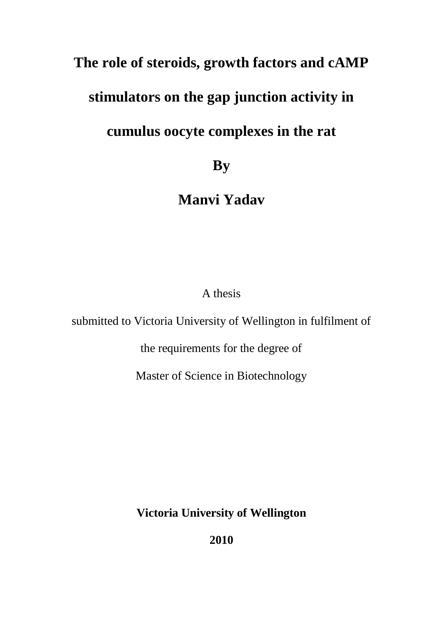### **The role of steroids, growth factors and cAMP**

## **stimulators on the gap junction activity in**

## **cumulus oocyte complexes in the rat**

**By**

**Manvi Yadav**

A thesis

submitted to Victoria University of Wellington in fulfilment of

the requirements for the degree of

Master of Science in Biotechnology

**Victoria University of Wellington** 

**2010**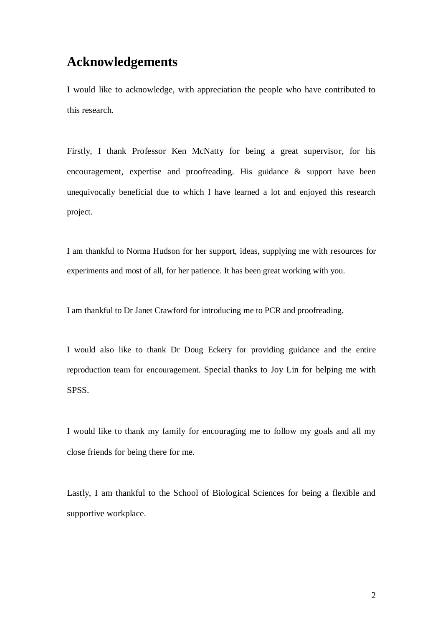### **Acknowledgements**

I would like to acknowledge, with appreciation the people who have contributed to this research.

Firstly, I thank Professor Ken McNatty for being a great supervisor, for his encouragement, expertise and proofreading. His guidance & support have been unequivocally beneficial due to which I have learned a lot and enjoyed this research project.

I am thankful to Norma Hudson for her support, ideas, supplying me with resources for experiments and most of all, for her patience. It has been great working with you.

I am thankful to Dr Janet Crawford for introducing me to PCR and proofreading.

I would also like to thank Dr Doug Eckery for providing guidance and the entire reproduction team for encouragement. Special thanks to Joy Lin for helping me with SPSS.

I would like to thank my family for encouraging me to follow my goals and all my close friends for being there for me.

Lastly, I am thankful to the School of Biological Sciences for being a flexible and supportive workplace.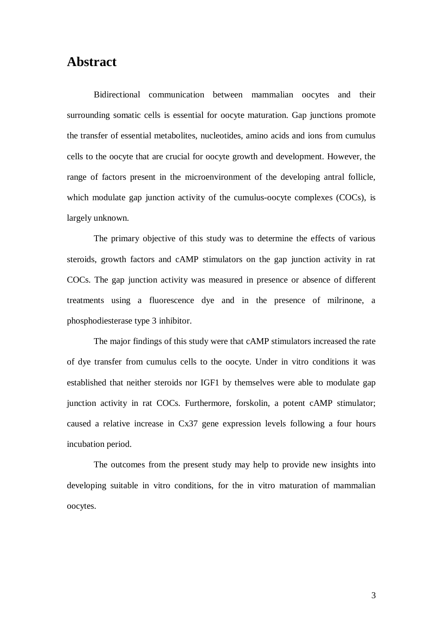### **Abstract**

Bidirectional communication between mammalian oocytes and their surrounding somatic cells is essential for oocyte maturation. Gap junctions promote the transfer of essential metabolites, nucleotides, amino acids and ions from cumulus cells to the oocyte that are crucial for oocyte growth and development. However, the range of factors present in the microenvironment of the developing antral follicle, which modulate gap junction activity of the cumulus-oocyte complexes (COCs), is largely unknown.

The primary objective of this study was to determine the effects of various steroids, growth factors and cAMP stimulators on the gap junction activity in rat COCs. The gap junction activity was measured in presence or absence of different treatments using a fluorescence dye and in the presence of milrinone, a phosphodiesterase type 3 inhibitor.

The major findings of this study were that cAMP stimulators increased the rate of dye transfer from cumulus cells to the oocyte. Under in vitro conditions it was established that neither steroids nor IGF1 by themselves were able to modulate gap junction activity in rat COCs. Furthermore, forskolin, a potent cAMP stimulator; caused a relative increase in Cx37 gene expression levels following a four hours incubation period.

The outcomes from the present study may help to provide new insights into developing suitable in vitro conditions, for the in vitro maturation of mammalian oocytes.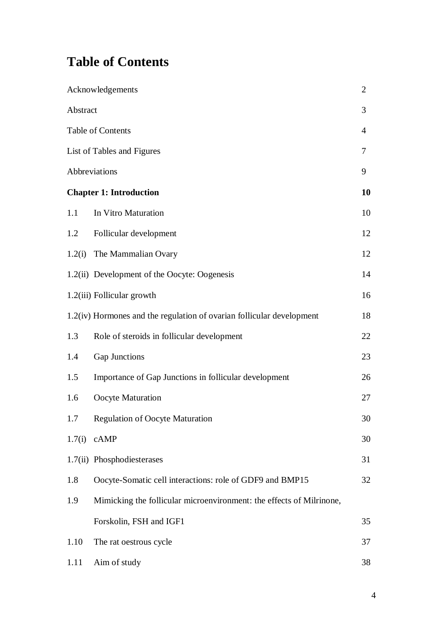## **Table of Contents**

|        | Acknowledgements                                                      | $\overline{2}$ |  |
|--------|-----------------------------------------------------------------------|----------------|--|
|        | Abstract                                                              |                |  |
|        | Table of Contents                                                     |                |  |
|        | List of Tables and Figures                                            |                |  |
|        | Abbreviations                                                         | 9              |  |
|        | <b>Chapter 1: Introduction</b>                                        | 10             |  |
| 1.1    | In Vitro Maturation                                                   | 10             |  |
| 1.2    | Follicular development                                                | 12             |  |
| 1.2(i) | The Mammalian Ovary                                                   | 12             |  |
|        | 1.2(ii) Development of the Oocyte: Oogenesis                          | 14             |  |
|        | 1.2(iii) Follicular growth                                            | 16             |  |
|        | 1.2(iv) Hormones and the regulation of ovarian follicular development | 18             |  |
| 1.3    | Role of steroids in follicular development                            | 22             |  |
| 1.4    | Gap Junctions                                                         | 23             |  |
| 1.5    | Importance of Gap Junctions in follicular development                 | 26             |  |
| 1.6    | Oocyte Maturation                                                     | 27             |  |
| 1.7    | <b>Regulation of Oocyte Maturation</b>                                | 30             |  |
| 1.7(i) | cAMP                                                                  | 30             |  |
|        | 1.7(ii) Phosphodiesterases                                            | 31             |  |
| 1.8    | Oocyte-Somatic cell interactions: role of GDF9 and BMP15              | 32             |  |
| 1.9    | Mimicking the follicular microenvironment: the effects of Milrinone,  |                |  |
|        | Forskolin, FSH and IGF1                                               | 35             |  |
| 1.10   | The rat oestrous cycle                                                | 37             |  |
| 1.11   | Aim of study                                                          | 38             |  |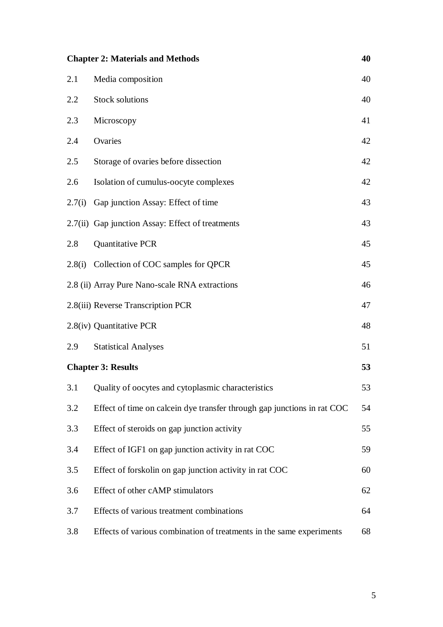| 40<br><b>Chapter 2: Materials and Methods</b> |                                                                         |    |  |
|-----------------------------------------------|-------------------------------------------------------------------------|----|--|
| 2.1                                           | Media composition                                                       | 40 |  |
| 2.2                                           | <b>Stock solutions</b>                                                  | 40 |  |
| 2.3                                           | Microscopy                                                              | 41 |  |
| 2.4                                           | Ovaries                                                                 | 42 |  |
| 2.5                                           | Storage of ovaries before dissection                                    | 42 |  |
| 2.6                                           | Isolation of cumulus-oocyte complexes                                   | 42 |  |
| 2.7(i)                                        | Gap junction Assay: Effect of time                                      | 43 |  |
|                                               | 2.7(ii) Gap junction Assay: Effect of treatments                        | 43 |  |
| 2.8                                           | Quantitative PCR                                                        | 45 |  |
|                                               | 2.8(i) Collection of COC samples for QPCR                               | 45 |  |
|                                               | 2.8 (ii) Array Pure Nano-scale RNA extractions                          | 46 |  |
|                                               | 2.8(iii) Reverse Transcription PCR                                      | 47 |  |
|                                               | 2.8(iv) Quantitative PCR                                                | 48 |  |
| 2.9                                           | <b>Statistical Analyses</b>                                             | 51 |  |
| 53<br><b>Chapter 3: Results</b>               |                                                                         |    |  |
| 3.1                                           | Quality of oocytes and cytoplasmic characteristics                      | 53 |  |
| 3.2                                           | Effect of time on calcein dye transfer through gap junctions in rat COC | 54 |  |
| 3.3                                           | Effect of steroids on gap junction activity                             | 55 |  |
| 3.4                                           | Effect of IGF1 on gap junction activity in rat COC                      | 59 |  |
| 3.5                                           | Effect of forskolin on gap junction activity in rat COC                 | 60 |  |
| 3.6                                           | Effect of other cAMP stimulators                                        | 62 |  |
| 3.7                                           | Effects of various treatment combinations                               | 64 |  |
| 3.8                                           | Effects of various combination of treatments in the same experiments    | 68 |  |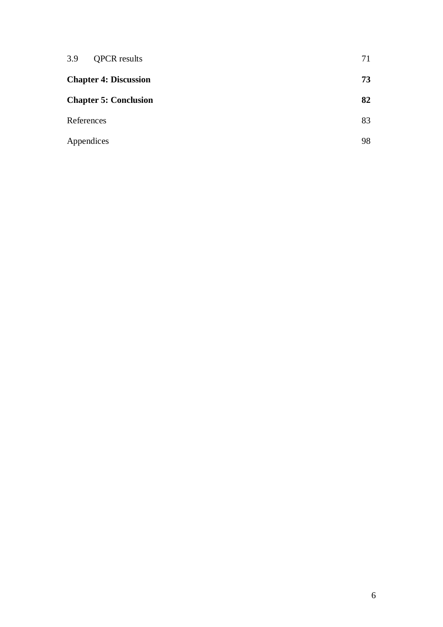| 3.9<br><b>QPCR</b> results   | 71 |
|------------------------------|----|
| <b>Chapter 4: Discussion</b> |    |
| <b>Chapter 5: Conclusion</b> | 82 |
| References                   | 83 |
| Appendices                   | 98 |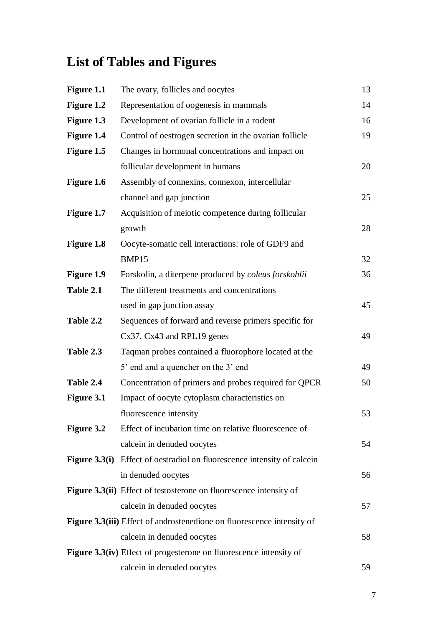# **List of Tables and Figures**

| Figure 1.1        | The ovary, follicles and oocytes                                          | 13 |
|-------------------|---------------------------------------------------------------------------|----|
| Figure 1.2        | Representation of oogenesis in mammals                                    | 14 |
| Figure 1.3        | Development of ovarian follicle in a rodent                               | 16 |
| <b>Figure 1.4</b> | Control of oestrogen secretion in the ovarian follicle                    | 19 |
| Figure 1.5        | Changes in hormonal concentrations and impact on                          |    |
|                   | follicular development in humans                                          | 20 |
| Figure 1.6        | Assembly of connexins, connexon, intercellular                            |    |
|                   | channel and gap junction                                                  | 25 |
| <b>Figure 1.7</b> | Acquisition of meiotic competence during follicular                       |    |
|                   | growth                                                                    | 28 |
| Figure 1.8        | Oocyte-somatic cell interactions: role of GDF9 and                        |    |
|                   | BMP15                                                                     | 32 |
| <b>Figure 1.9</b> | Forskolin, a diterpene produced by coleus forskohlii                      | 36 |
| Table 2.1         | The different treatments and concentrations                               |    |
|                   | used in gap junction assay                                                | 45 |
| Table 2.2         | Sequences of forward and reverse primers specific for                     |    |
|                   | $Cx37, Cx43$ and RPL19 genes                                              | 49 |
| Table 2.3         | Taqman probes contained a fluorophore located at the                      |    |
|                   | 5' end and a quencher on the 3' end                                       | 49 |
| Table 2.4         | Concentration of primers and probes required for QPCR                     | 50 |
| Figure 3.1        | Impact of oocyte cytoplasm characteristics on                             |    |
|                   | fluorescence intensity                                                    | 53 |
| <b>Figure 3.2</b> | Effect of incubation time on relative fluorescence of                     |    |
|                   | calcein in denuded oocytes                                                | 54 |
|                   | Figure 3.3(i) Effect of oestradiol on fluorescence intensity of calcein   |    |
|                   | in denuded oocytes                                                        | 56 |
|                   | Figure 3.3(ii) Effect of testosterone on fluorescence intensity of        |    |
|                   | calcein in denuded oocytes                                                | 57 |
|                   | Figure 3.3(iii) Effect of androstenedione on fluorescence intensity of    |    |
|                   | calcein in denuded oocytes                                                | 58 |
|                   | <b>Figure 3.3(iv)</b> Effect of progesterone on fluorescence intensity of |    |
|                   | calcein in denuded oocytes                                                | 59 |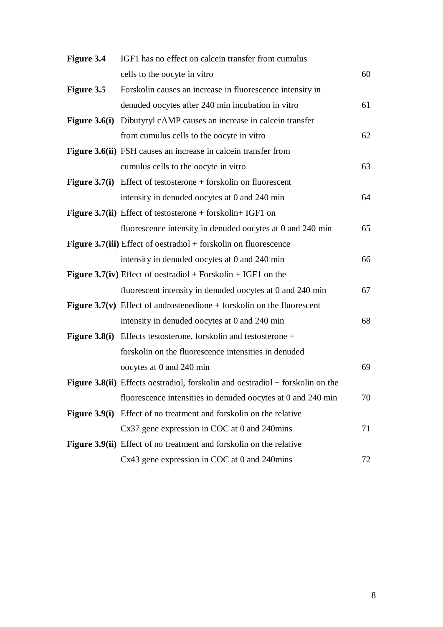| <b>Figure 3.4</b> | IGF1 has no effect on calcein transfer from cumulus                                   |    |
|-------------------|---------------------------------------------------------------------------------------|----|
|                   | cells to the oocyte in vitro                                                          | 60 |
| <b>Figure 3.5</b> | Forskolin causes an increase in fluorescence intensity in                             |    |
|                   | denuded oocytes after 240 min incubation in vitro                                     | 61 |
|                   | <b>Figure 3.6(i)</b> Dibutyryl cAMP causes an increase in calcein transfer            |    |
|                   | from cumulus cells to the oocyte in vitro                                             | 62 |
|                   | Figure 3.6(ii) FSH causes an increase in calcein transfer from                        |    |
|                   | cumulus cells to the oocyte in vitro                                                  | 63 |
|                   | <b>Figure 3.7(i)</b> Effect of testosterone $+$ forskolin on fluorescent              |    |
|                   | intensity in denuded oocytes at 0 and 240 min                                         | 64 |
|                   | <b>Figure 3.7(ii)</b> Effect of testosterone $+$ forskolin $+$ IGF1 on                |    |
|                   | fluorescence intensity in denuded oocytes at 0 and 240 min                            | 65 |
|                   | <b>Figure 3.7(iii)</b> Effect of oestradiol $+$ forskolin on fluorescence             |    |
|                   | intensity in denuded oocytes at 0 and 240 min                                         | 66 |
|                   | <b>Figure 3.7(iv)</b> Effect of oestradiol + Forskolin + IGF1 on the                  |    |
|                   | fluorescent intensity in denuded oocytes at 0 and 240 min                             | 67 |
|                   | <b>Figure 3.7(v)</b> Effect of androstenedione $+$ forskolin on the fluorescent       |    |
|                   | intensity in denuded oocytes at 0 and 240 min                                         | 68 |
|                   | <b>Figure 3.8(i)</b> Effects testosterone, forskolin and testosterone +               |    |
|                   | forskolin on the fluorescence intensities in denuded                                  |    |
|                   | oocytes at 0 and 240 min                                                              | 69 |
|                   | <b>Figure 3.8(ii)</b> Effects oestradiol, forskolin and oestradiol + forskolin on the |    |
|                   | fluorescence intensities in denuded oocytes at 0 and 240 min                          | 70 |
|                   | <b>Figure 3.9(i)</b> Effect of no treatment and forskolin on the relative             |    |
|                   | Cx37 gene expression in COC at 0 and 240mins                                          | 71 |
|                   | <b>Figure 3.9(ii)</b> Effect of no treatment and forskolin on the relative            |    |
|                   | Cx43 gene expression in COC at 0 and 240mins                                          | 72 |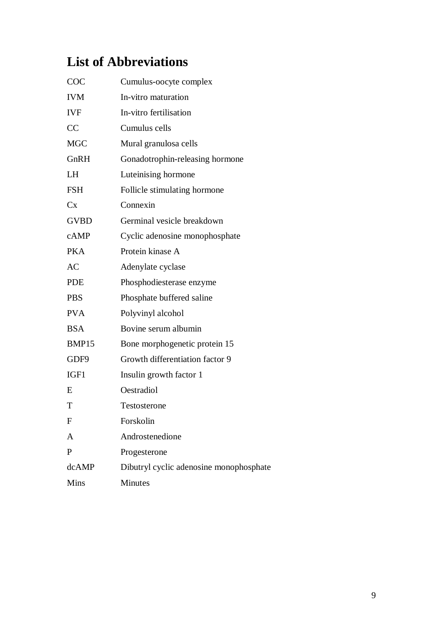## **List of Abbreviations**

| COC          | Cumulus-oocyte complex                  |
|--------------|-----------------------------------------|
| <b>IVM</b>   | In-vitro maturation                     |
| <b>IVF</b>   | In-vitro fertilisation                  |
| CC           | Cumulus cells                           |
| <b>MGC</b>   | Mural granulosa cells                   |
| GnRH         | Gonadotrophin-releasing hormone         |
| LH           | Luteinising hormone                     |
| <b>FSH</b>   | Follicle stimulating hormone            |
| $C_{X}$      | Connexin                                |
| <b>GVBD</b>  | Germinal vesicle breakdown              |
| cAMP         | Cyclic adenosine monophosphate          |
| <b>PKA</b>   | Protein kinase A                        |
| AC           | Adenylate cyclase                       |
| <b>PDE</b>   | Phosphodiesterase enzyme                |
| <b>PBS</b>   | Phosphate buffered saline               |
| <b>PVA</b>   | Polyvinyl alcohol                       |
| <b>BSA</b>   | Bovine serum albumin                    |
| BMP15        | Bone morphogenetic protein 15           |
| GDF9         | Growth differentiation factor 9         |
| IGF1         | Insulin growth factor 1                 |
| E            | Oestradiol                              |
| T            | Testosterone                            |
| F            | Forskolin                               |
| A            | Androstenedione                         |
| $\mathbf{P}$ | Progesterone                            |
| dcAMP        | Dibutryl cyclic adenosine monophosphate |
| Mins         | Minutes                                 |
|              |                                         |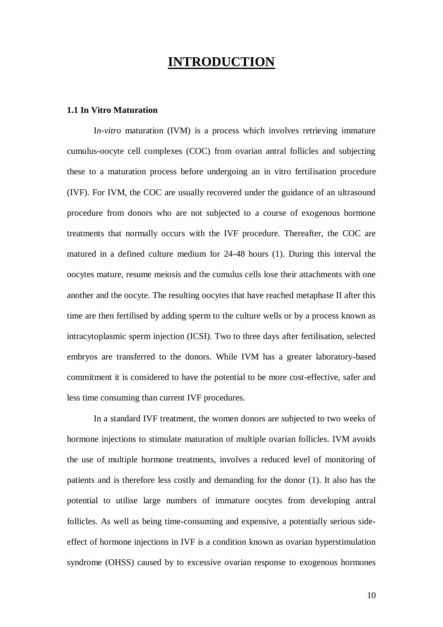### **INTRODUCTION**

#### **1.1 In Vitro Maturation**

I*n-vitro* maturation (IVM) is a process which involves retrieving immature cumulus-oocyte cell complexes (COC) from ovarian antral follicles and subjecting these to a maturation process before undergoing an in vitro fertilisation procedure (IVF). For IVM, the COC are usually recovered under the guidance of an ultrasound procedure from donors who are not subjected to a course of exogenous hormone treatments that normally occurs with the IVF procedure. Thereafter, the COC are matured in a defined culture medium for 24-48 hours (1). During this interval the oocytes mature, resume meiosis and the cumulus cells lose their attachments with one another and the oocyte. The resulting oocytes that have reached metaphase II after this time are then fertilised by adding sperm to the culture wells or by a process known as intracytoplasmic sperm injection (ICSI). Two to three days after fertilisation, selected embryos are transferred to the donors. While IVM has a greater laboratory-based commitment it is considered to have the potential to be more cost-effective, safer and less time consuming than current IVF procedures.

In a standard IVF treatment, the women donors are subjected to two weeks of hormone injections to stimulate maturation of multiple ovarian follicles. IVM avoids the use of multiple hormone treatments, involves a reduced level of monitoring of patients and is therefore less costly and demanding for the donor (1). It also has the potential to utilise large numbers of immature oocytes from developing antral follicles. As well as being time-consuming and expensive, a potentially serious sideeffect of hormone injections in IVF is a condition known as ovarian hyperstimulation syndrome (OHSS) caused by to excessive ovarian response to exogenous hormones

10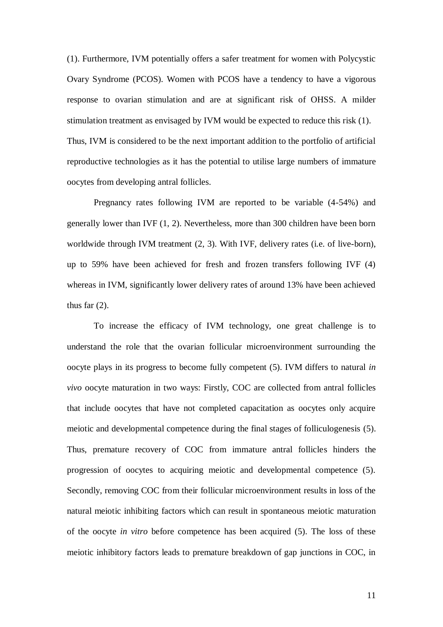(1). Furthermore, IVM potentially offers a safer treatment for women with Polycystic Ovary Syndrome (PCOS). Women with PCOS have a tendency to have a vigorous response to ovarian stimulation and are at significant risk of OHSS. A milder stimulation treatment as envisaged by IVM would be expected to reduce this risk (1). Thus, IVM is considered to be the next important addition to the portfolio of artificial reproductive technologies as it has the potential to utilise large numbers of immature oocytes from developing antral follicles.

Pregnancy rates following IVM are reported to be variable (4-54%) and generally lower than IVF (1, 2). Nevertheless, more than 300 children have been born worldwide through IVM treatment  $(2, 3)$ . With IVF, delivery rates (i.e. of live-born), up to 59% have been achieved for fresh and frozen transfers following IVF (4) whereas in IVM, significantly lower delivery rates of around 13% have been achieved thus far  $(2)$ .

To increase the efficacy of IVM technology, one great challenge is to understand the role that the ovarian follicular microenvironment surrounding the oocyte plays in its progress to become fully competent (5). IVM differs to natural *in vivo* oocyte maturation in two ways: Firstly, COC are collected from antral follicles that include oocytes that have not completed capacitation as oocytes only acquire meiotic and developmental competence during the final stages of folliculogenesis (5). Thus, premature recovery of COC from immature antral follicles hinders the progression of oocytes to acquiring meiotic and developmental competence (5). Secondly, removing COC from their follicular microenvironment results in loss of the natural meiotic inhibiting factors which can result in spontaneous meiotic maturation of the oocyte *in vitro* before competence has been acquired (5). The loss of these meiotic inhibitory factors leads to premature breakdown of gap junctions in COC, in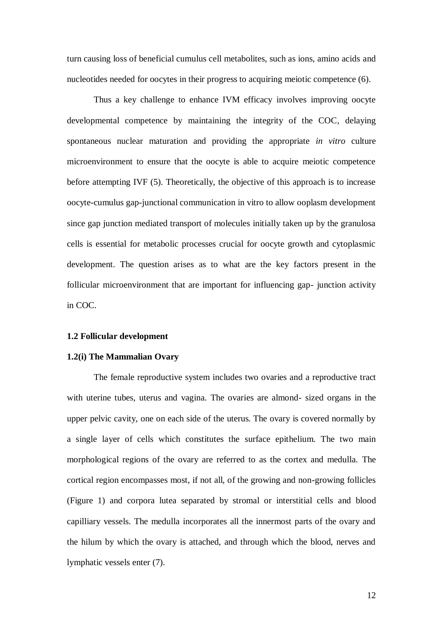turn causing loss of beneficial cumulus cell metabolites, such as ions, amino acids and nucleotides needed for oocytes in their progress to acquiring meiotic competence (6).

Thus a key challenge to enhance IVM efficacy involves improving oocyte developmental competence by maintaining the integrity of the COC*,* delaying spontaneous nuclear maturation and providing the appropriate *in vitro* culture microenvironment to ensure that the oocyte is able to acquire meiotic competence before attempting IVF (5). Theoretically, the objective of this approach is to increase oocyte-cumulus gap-junctional communication in vitro to allow ooplasm development since gap junction mediated transport of molecules initially taken up by the granulosa cells is essential for metabolic processes crucial for oocyte growth and cytoplasmic development. The question arises as to what are the key factors present in the follicular microenvironment that are important for influencing gap- junction activity in COC.

#### **1.2 Follicular development**

#### **1.2(i) The Mammalian Ovary**

The female reproductive system includes two ovaries and a reproductive tract with uterine tubes, uterus and vagina. The ovaries are almond- sized organs in the upper pelvic cavity, one on each side of the uterus. The ovary is covered normally by a single layer of cells which constitutes the surface epithelium. The two main morphological regions of the ovary are referred to as the cortex and medulla. The cortical region encompasses most, if not all, of the growing and non-growing follicles (Figure 1) and corpora lutea separated by stromal or interstitial cells and blood capilliary vessels. The medulla incorporates all the innermost parts of the ovary and the hilum by which the ovary is attached, and through which the blood, nerves and lymphatic vessels enter (7).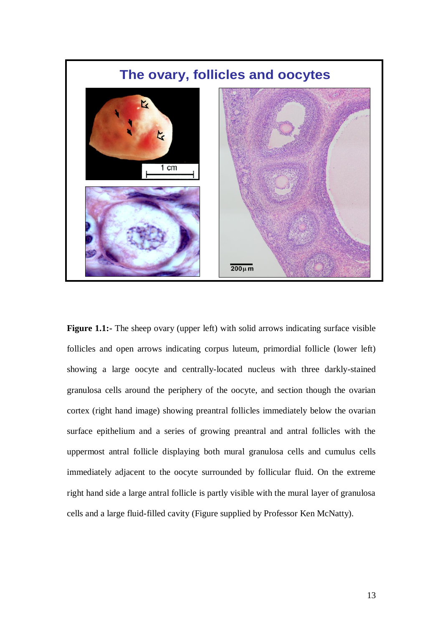

**Figure 1.1:-** The sheep ovary (upper left) with solid arrows indicating surface visible follicles and open arrows indicating corpus luteum, primordial follicle (lower left) showing a large oocyte and centrally-located nucleus with three darkly-stained granulosa cells around the periphery of the oocyte, and section though the ovarian cortex (right hand image) showing preantral follicles immediately below the ovarian surface epithelium and a series of growing preantral and antral follicles with the uppermost antral follicle displaying both mural granulosa cells and cumulus cells immediately adjacent to the oocyte surrounded by follicular fluid. On the extreme right hand side a large antral follicle is partly visible with the mural layer of granulosa cells and a large fluid-filled cavity (Figure supplied by Professor Ken McNatty).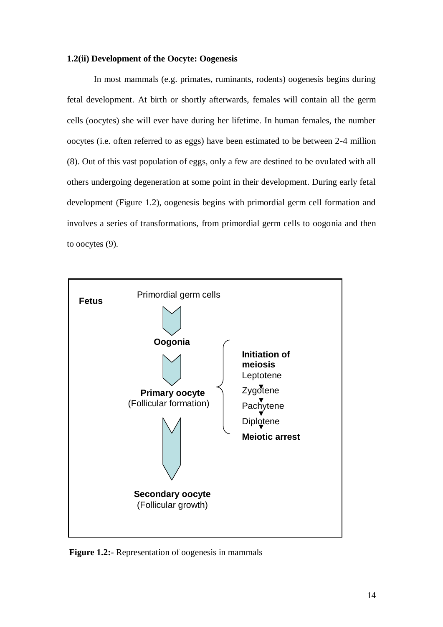#### **1.2(ii) Development of the Oocyte: Oogenesis**

In most mammals (e.g. primates, ruminants, rodents) oogenesis begins during fetal development. At birth or shortly afterwards, females will contain all the germ cells (oocytes) she will ever have during her lifetime. In human females, the number oocytes (i.e. often referred to as eggs) have been estimated to be between 2-4 million (8). Out of this vast population of eggs, only a few are destined to be ovulated with all others undergoing degeneration at some point in their development. During early fetal development (Figure 1.2), oogenesis begins with primordial germ cell formation and involves a series of transformations, from primordial germ cells to oogonia and then to oocytes (9).



**Figure 1.2:-** Representation of oogenesis in mammals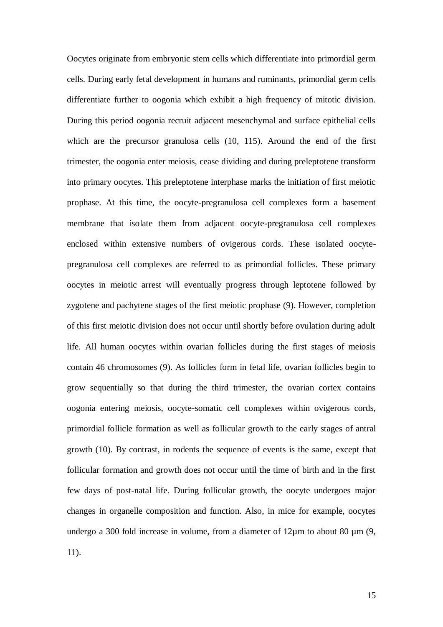Oocytes originate from embryonic stem cells which differentiate into primordial germ cells. During early fetal development in humans and ruminants, primordial germ cells differentiate further to oogonia which exhibit a high frequency of mitotic division. During this period oogonia recruit adjacent mesenchymal and surface epithelial cells which are the precursor granulosa cells (10, 115). Around the end of the first trimester, the oogonia enter meiosis, cease dividing and during preleptotene transform into primary oocytes. This preleptotene interphase marks the initiation of first meiotic prophase. At this time, the oocyte-pregranulosa cell complexes form a basement membrane that isolate them from adjacent oocyte-pregranulosa cell complexes enclosed within extensive numbers of ovigerous cords. These isolated oocytepregranulosa cell complexes are referred to as primordial follicles. These primary oocytes in meiotic arrest will eventually progress through leptotene followed by zygotene and pachytene stages of the first meiotic prophase (9). However, completion of this first meiotic division does not occur until shortly before ovulation during adult life. All human oocytes within ovarian follicles during the first stages of meiosis contain 46 chromosomes (9). As follicles form in fetal life, ovarian follicles begin to grow sequentially so that during the third trimester, the ovarian cortex contains oogonia entering meiosis, oocyte-somatic cell complexes within ovigerous cords, primordial follicle formation as well as follicular growth to the early stages of antral growth (10). By contrast, in rodents the sequence of events is the same, except that follicular formation and growth does not occur until the time of birth and in the first few days of post-natal life. During follicular growth, the oocyte undergoes major changes in organelle composition and function. Also, in mice for example, oocytes undergo a 300 fold increase in volume, from a diameter of  $12\mu$ m to about 80  $\mu$ m (9, 11).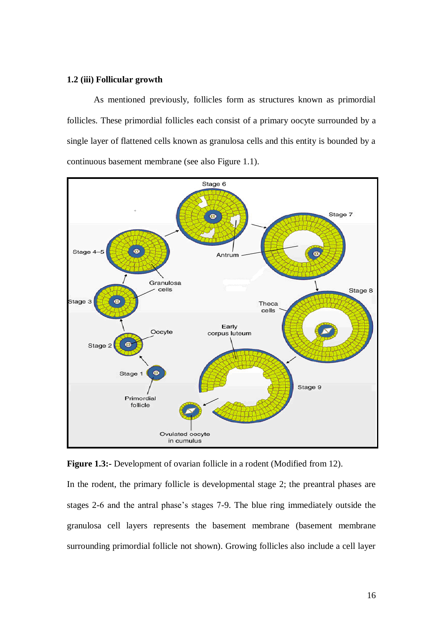#### **1.2 (iii) Follicular growth**

As mentioned previously, follicles form as structures known as primordial follicles. These primordial follicles each consist of a primary oocyte surrounded by a single layer of flattened cells known as granulosa cells and this entity is bounded by a continuous basement membrane (see also Figure 1.1).





In the rodent, the primary follicle is developmental stage 2; the preantral phases are stages 2-6 and the antral phase"s stages 7-9. The blue ring immediately outside the granulosa cell layers represents the basement membrane (basement membrane surrounding primordial follicle not shown). Growing follicles also include a cell layer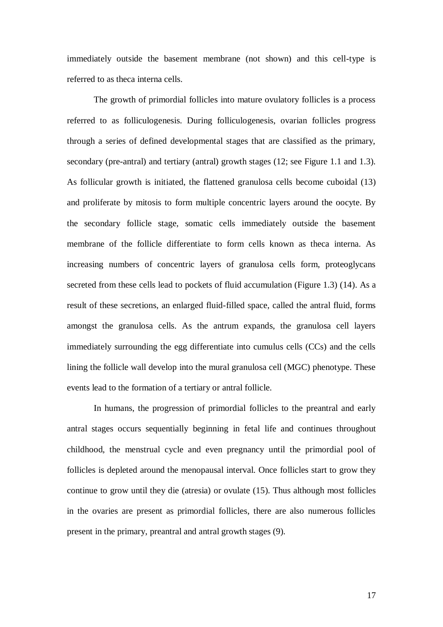immediately outside the basement membrane (not shown) and this cell-type is referred to as theca interna cells.

The growth of primordial follicles into mature ovulatory follicles is a process referred to as folliculogenesis. During folliculogenesis, ovarian follicles progress through a series of defined developmental stages that are classified as the primary, secondary (pre-antral) and tertiary (antral) growth stages (12; see Figure 1.1 and 1.3). As follicular growth is initiated, the flattened granulosa cells become cuboidal (13) and proliferate by mitosis to form multiple concentric layers around the oocyte. By the secondary follicle stage, somatic cells immediately outside the basement membrane of the follicle differentiate to form cells known as theca interna. As increasing numbers of concentric layers of granulosa cells form, proteoglycans secreted from these cells lead to pockets of fluid accumulation (Figure 1.3) (14). As a result of these secretions, an enlarged fluid-filled space, called the antral fluid, forms amongst the granulosa cells. As the antrum expands, the granulosa cell layers immediately surrounding the egg differentiate into cumulus cells (CCs) and the cells lining the follicle wall develop into the mural granulosa cell (MGC) phenotype. These events lead to the formation of a tertiary or antral follicle.

In humans, the progression of primordial follicles to the preantral and early antral stages occurs sequentially beginning in fetal life and continues throughout childhood, the menstrual cycle and even pregnancy until the primordial pool of follicles is depleted around the menopausal interval. Once follicles start to grow they continue to grow until they die (atresia) or ovulate (15). Thus although most follicles in the ovaries are present as primordial follicles, there are also numerous follicles present in the primary, preantral and antral growth stages (9).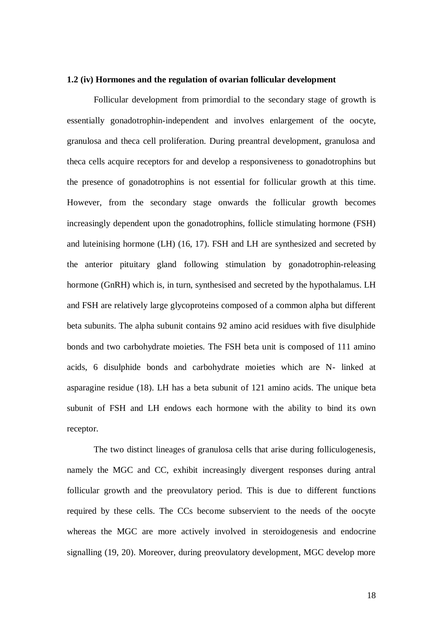#### **1.2 (iv) Hormones and the regulation of ovarian follicular development**

Follicular development from primordial to the secondary stage of growth is essentially gonadotrophin-independent and involves enlargement of the oocyte, granulosa and theca cell proliferation. During preantral development, granulosa and theca cells acquire receptors for and develop a responsiveness to gonadotrophins but the presence of gonadotrophins is not essential for follicular growth at this time. However, from the secondary stage onwards the follicular growth becomes increasingly dependent upon the gonadotrophins, follicle stimulating hormone (FSH) and luteinising hormone (LH) (16, 17). FSH and LH are synthesized and secreted by the anterior pituitary gland following stimulation by gonadotrophin-releasing hormone (GnRH) which is, in turn, synthesised and secreted by the hypothalamus. LH and FSH are relatively large glycoproteins composed of a common alpha but different beta subunits. The alpha subunit contains 92 amino acid residues with five disulphide bonds and two carbohydrate moieties. The FSH beta unit is composed of 111 amino acids, 6 disulphide bonds and carbohydrate moieties which are N- linked at asparagine residue (18). LH has a beta subunit of 121 amino acids. The unique beta subunit of FSH and LH endows each hormone with the ability to bind its own receptor.

The two distinct lineages of granulosa cells that arise during folliculogenesis, namely the MGC and CC, exhibit increasingly divergent responses during antral follicular growth and the preovulatory period. This is due to different functions required by these cells. The CCs become subservient to the needs of the oocyte whereas the MGC are more actively involved in steroidogenesis and endocrine signalling (19, 20). Moreover, during preovulatory development, MGC develop more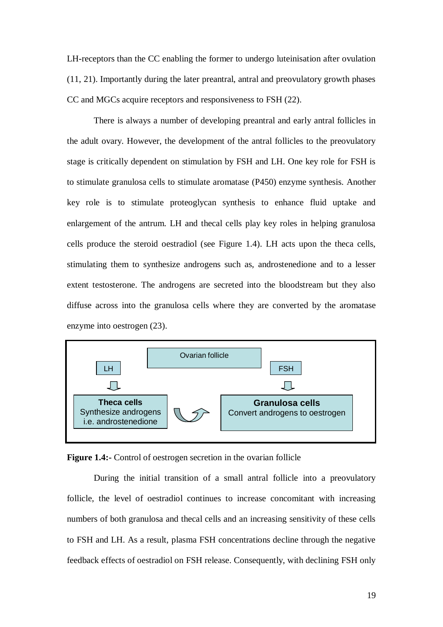LH-receptors than the CC enabling the former to undergo luteinisation after ovulation (11, 21). Importantly during the later preantral, antral and preovulatory growth phases CC and MGCs acquire receptors and responsiveness to FSH (22).

There is always a number of developing preantral and early antral follicles in the adult ovary. However, the development of the antral follicles to the preovulatory stage is critically dependent on stimulation by FSH and LH. One key role for FSH is to stimulate granulosa cells to stimulate aromatase (P450) enzyme synthesis. Another key role is to stimulate proteoglycan synthesis to enhance fluid uptake and enlargement of the antrum. LH and thecal cells play key roles in helping granulosa cells produce the steroid oestradiol (see Figure 1.4). LH acts upon the theca cells, stimulating them to synthesize androgens such as, androstenedione and to a lesser extent testosterone. The androgens are secreted into the bloodstream but they also diffuse across into the granulosa cells where they are converted by the aromatase enzyme into oestrogen (23).



**Figure 1.4:-** Control of oestrogen secretion in the ovarian follicle

During the initial transition of a small antral follicle into a preovulatory follicle, the level of oestradiol continues to increase concomitant with increasing numbers of both granulosa and thecal cells and an increasing sensitivity of these cells to FSH and LH. As a result, plasma FSH concentrations decline through the negative feedback effects of oestradiol on FSH release. Consequently, with declining FSH only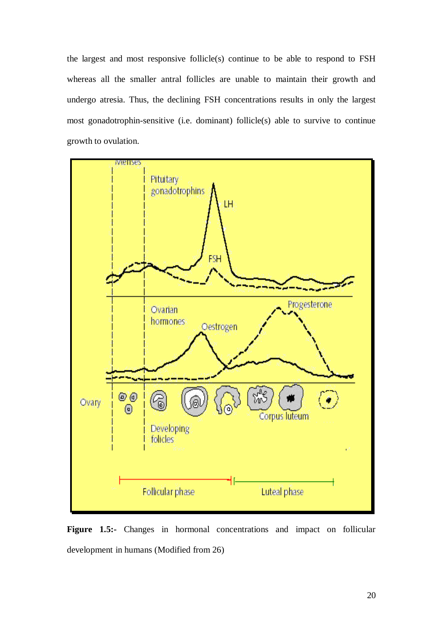the largest and most responsive follicle(s) continue to be able to respond to FSH whereas all the smaller antral follicles are unable to maintain their growth and undergo atresia. Thus, the declining FSH concentrations results in only the largest most gonadotrophin-sensitive (i.e. dominant) follicle(s) able to survive to continue growth to ovulation.



**Figure 1.5:-** Changes in hormonal concentrations and impact on follicular development in humans (Modified from 26)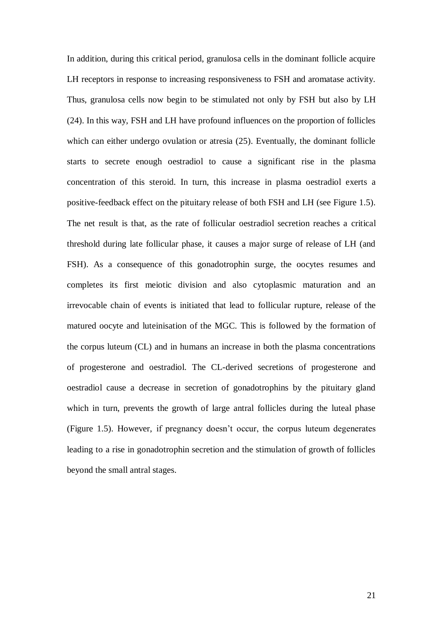In addition, during this critical period, granulosa cells in the dominant follicle acquire LH receptors in response to increasing responsiveness to FSH and aromatase activity. Thus, granulosa cells now begin to be stimulated not only by FSH but also by LH (24). In this way, FSH and LH have profound influences on the proportion of follicles which can either undergo ovulation or atresia (25). Eventually, the dominant follicle starts to secrete enough oestradiol to cause a significant rise in the plasma concentration of this steroid. In turn, this increase in plasma oestradiol exerts a positive-feedback effect on the pituitary release of both FSH and LH (see Figure 1.5). The net result is that, as the rate of follicular oestradiol secretion reaches a critical threshold during late follicular phase, it causes a major surge of release of LH (and FSH). As a consequence of this gonadotrophin surge, the oocytes resumes and completes its first meiotic division and also cytoplasmic maturation and an irrevocable chain of events is initiated that lead to follicular rupture, release of the matured oocyte and luteinisation of the MGC. This is followed by the formation of the corpus luteum (CL) and in humans an increase in both the plasma concentrations of progesterone and oestradiol. The CL-derived secretions of progesterone and oestradiol cause a decrease in secretion of gonadotrophins by the pituitary gland which in turn, prevents the growth of large antral follicles during the luteal phase (Figure 1.5). However, if pregnancy doesn"t occur, the corpus luteum degenerates leading to a rise in gonadotrophin secretion and the stimulation of growth of follicles beyond the small antral stages.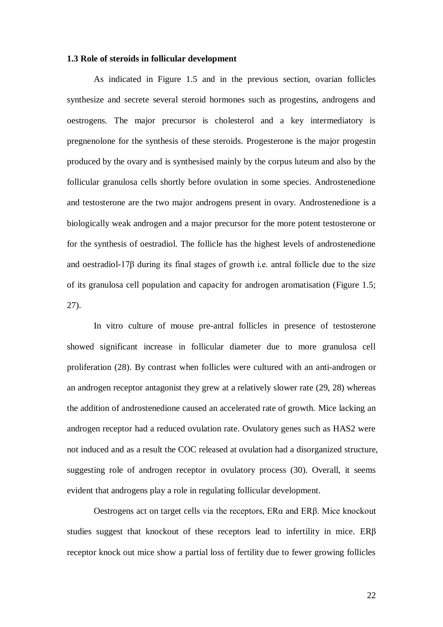#### **1.3 Role of steroids in follicular development**

As indicated in Figure 1.5 and in the previous section, ovarian follicles synthesize and secrete several steroid hormones such as progestins, androgens and oestrogens. The major precursor is cholesterol and a key intermediatory is pregnenolone for the synthesis of these steroids. Progesterone is the major progestin produced by the ovary and is synthesised mainly by the corpus luteum and also by the follicular granulosa cells shortly before ovulation in some species. Androstenedione and testosterone are the two major androgens present in ovary. Androstenedione is a biologically weak androgen and a major precursor for the more potent testosterone or for the synthesis of oestradiol. The follicle has the highest levels of androstenedione and oestradiol-17β during its final stages of growth i.e. antral follicle due to the size of its granulosa cell population and capacity for androgen aromatisation (Figure 1.5; 27).

In vitro culture of mouse pre-antral follicles in presence of testosterone showed significant increase in follicular diameter due to more granulosa cell proliferation (28). By contrast when follicles were cultured with an anti-androgen or an androgen receptor antagonist they grew at a relatively slower rate (29, 28) whereas the addition of androstenedione caused an accelerated rate of growth. Mice lacking an androgen receptor had a reduced ovulation rate. Ovulatory genes such as HAS2 were not induced and as a result the COC released at ovulation had a disorganized structure, suggesting role of androgen receptor in ovulatory process (30). Overall, it seems evident that androgens play a role in regulating follicular development.

Oestrogens act on target cells via the receptors, ERα and ERβ. Mice knockout studies suggest that knockout of these receptors lead to infertility in mice. ERβ receptor knock out mice show a partial loss of fertility due to fewer growing follicles

22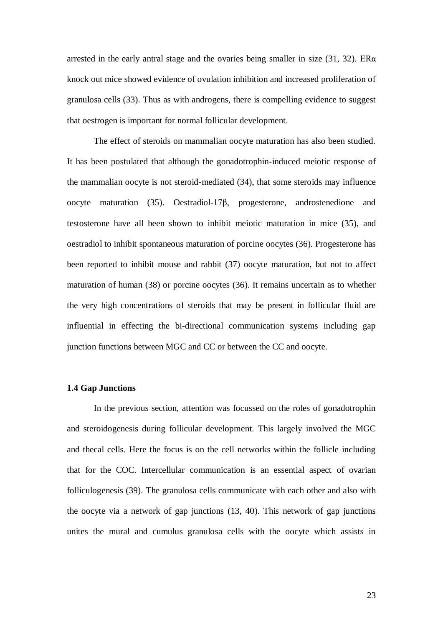arrested in the early antral stage and the ovaries being smaller in size (31, 32). ER $\alpha$ knock out mice showed evidence of ovulation inhibition and increased proliferation of granulosa cells (33). Thus as with androgens, there is compelling evidence to suggest that oestrogen is important for normal follicular development.

The effect of steroids on mammalian oocyte maturation has also been studied. It has been postulated that although the gonadotrophin-induced meiotic response of the mammalian oocyte is not steroid-mediated (34), that some steroids may influence oocyte maturation (35). Oestradiol-17β, progesterone, androstenedione and testosterone have all been shown to inhibit meiotic maturation in mice (35), and oestradiol to inhibit spontaneous maturation of porcine oocytes (36). Progesterone has been reported to inhibit mouse and rabbit (37) oocyte maturation, but not to affect maturation of human (38) or porcine oocytes (36). It remains uncertain as to whether the very high concentrations of steroids that may be present in follicular fluid are influential in effecting the bi-directional communication systems including gap junction functions between MGC and CC or between the CC and oocyte.

#### **1.4 Gap Junctions**

In the previous section, attention was focussed on the roles of gonadotrophin and steroidogenesis during follicular development. This largely involved the MGC and thecal cells. Here the focus is on the cell networks within the follicle including that for the COC. Intercellular communication is an essential aspect of ovarian folliculogenesis (39). The granulosa cells communicate with each other and also with the oocyte via a network of gap junctions (13, 40). This network of gap junctions unites the mural and cumulus granulosa cells with the oocyte which assists in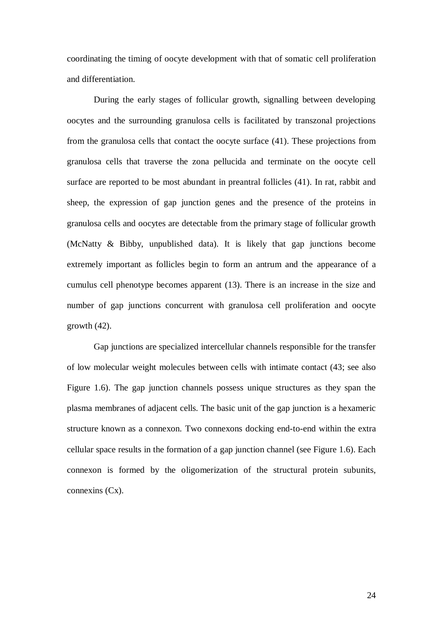coordinating the timing of oocyte development with that of somatic cell proliferation and differentiation.

During the early stages of follicular growth, signalling between developing oocytes and the surrounding granulosa cells is facilitated by transzonal projections from the granulosa cells that contact the oocyte surface (41). These projections from granulosa cells that traverse the zona pellucida and terminate on the oocyte cell surface are reported to be most abundant in preantral follicles (41). In rat, rabbit and sheep, the expression of gap junction genes and the presence of the proteins in granulosa cells and oocytes are detectable from the primary stage of follicular growth (McNatty & Bibby, unpublished data). It is likely that gap junctions become extremely important as follicles begin to form an antrum and the appearance of a cumulus cell phenotype becomes apparent (13). There is an increase in the size and number of gap junctions concurrent with granulosa cell proliferation and oocyte growth (42).

Gap junctions are specialized intercellular channels responsible for the transfer of low molecular weight molecules between cells with intimate contact (43; see also Figure 1.6). The gap junction channels possess unique structures as they span the plasma membranes of adjacent cells. The basic unit of the gap junction is a hexameric structure known as a connexon. Two connexons docking end-to-end within the extra cellular space results in the formation of a gap junction channel (see Figure 1.6). Each connexon is formed by the oligomerization of the structural protein subunits, connexins (Cx).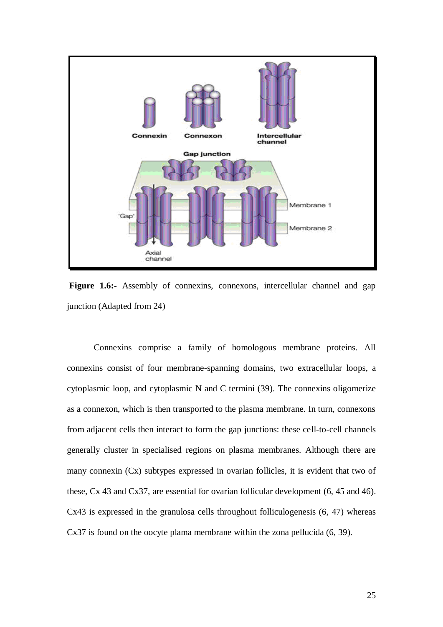

Figure 1.6:- Assembly of connexins, connexons, intercellular channel and gap junction (Adapted from 24)

Connexins comprise a family of homologous membrane proteins. All connexins consist of four membrane-spanning domains, two extracellular loops, a cytoplasmic loop, and cytoplasmic N and C termini (39). The connexins oligomerize as a connexon, which is then transported to the plasma membrane. In turn, connexons from adjacent cells then interact to form the gap junctions: these cell-to-cell channels generally cluster in specialised regions on plasma membranes. Although there are many connexin (Cx) subtypes expressed in ovarian follicles, it is evident that two of these, Cx 43 and Cx37, are essential for ovarian follicular development (6, 45 and 46). Cx43 is expressed in the granulosa cells throughout folliculogenesis (6, 47) whereas Cx37 is found on the oocyte plama membrane within the zona pellucida (6, 39).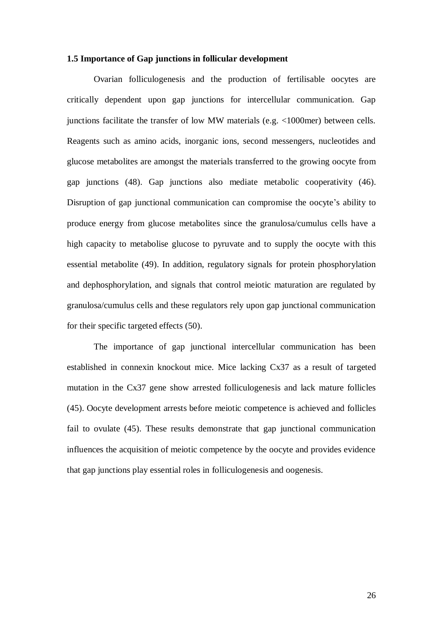#### **1.5 Importance of Gap junctions in follicular development**

Ovarian folliculogenesis and the production of fertilisable oocytes are critically dependent upon gap junctions for intercellular communication. Gap junctions facilitate the transfer of low MW materials (e.g. <1000mer) between cells. Reagents such as amino acids, inorganic ions, second messengers, nucleotides and glucose metabolites are amongst the materials transferred to the growing oocyte from gap junctions (48). Gap junctions also mediate metabolic cooperativity (46). Disruption of gap junctional communication can compromise the oocyte's ability to produce energy from glucose metabolites since the granulosa/cumulus cells have a high capacity to metabolise glucose to pyruvate and to supply the oocyte with this essential metabolite (49). In addition, regulatory signals for protein phosphorylation and dephosphorylation, and signals that control meiotic maturation are regulated by granulosa/cumulus cells and these regulators rely upon gap junctional communication for their specific targeted effects (50).

The importance of gap junctional intercellular communication has been established in connexin knockout mice. Mice lacking Cx37 as a result of targeted mutation in the Cx37 gene show arrested folliculogenesis and lack mature follicles (45). Oocyte development arrests before meiotic competence is achieved and follicles fail to ovulate (45). These results demonstrate that gap junctional communication influences the acquisition of meiotic competence by the oocyte and provides evidence that gap junctions play essential roles in folliculogenesis and oogenesis.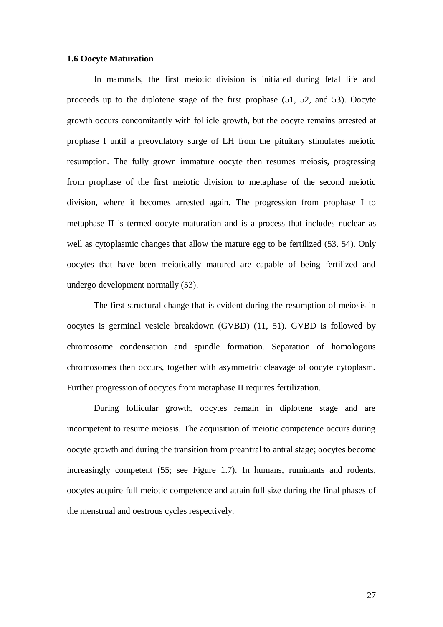#### **1.6 Oocyte Maturation**

In mammals, the first meiotic division is initiated during fetal life and proceeds up to the diplotene stage of the first prophase (51, 52, and 53). Oocyte growth occurs concomitantly with follicle growth, but the oocyte remains arrested at prophase I until a preovulatory surge of LH from the pituitary stimulates meiotic resumption. The fully grown immature oocyte then resumes meiosis, progressing from prophase of the first meiotic division to metaphase of the second meiotic division, where it becomes arrested again. The progression from prophase I to metaphase II is termed oocyte maturation and is a process that includes nuclear as well as cytoplasmic changes that allow the mature egg to be fertilized (53, 54). Only oocytes that have been meiotically matured are capable of being fertilized and undergo development normally (53).

The first structural change that is evident during the resumption of meiosis in oocytes is germinal vesicle breakdown (GVBD) (11, 51). GVBD is followed by chromosome condensation and spindle formation. Separation of homologous chromosomes then occurs, together with asymmetric cleavage of oocyte cytoplasm. Further progression of oocytes from metaphase II requires fertilization.

During follicular growth, oocytes remain in diplotene stage and are incompetent to resume meiosis. The acquisition of meiotic competence occurs during oocyte growth and during the transition from preantral to antral stage; oocytes become increasingly competent (55; see Figure 1.7). In humans, ruminants and rodents, oocytes acquire full meiotic competence and attain full size during the final phases of the menstrual and oestrous cycles respectively.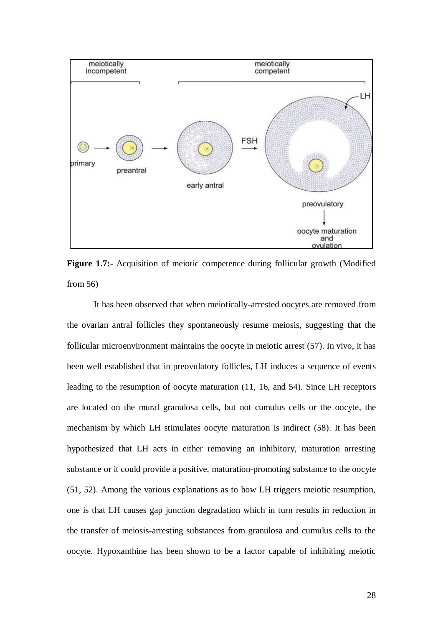

**Figure 1.7:-** Acquisition of meiotic competence during follicular growth (Modified from 56)

It has been observed that when meiotically-arrested oocytes are removed from the ovarian antral follicles they spontaneously resume meiosis, suggesting that the follicular microenvironment maintains the oocyte in meiotic arrest (57). In vivo, it has been well established that in preovulatory follicles, LH induces a sequence of events leading to the resumption of oocyte maturation (11, 16, and 54). Since LH receptors are located on the mural granulosa cells, but not cumulus cells or the oocyte, the mechanism by which LH stimulates oocyte maturation is indirect (58). It has been hypothesized that LH acts in either removing an inhibitory, maturation arresting substance or it could provide a positive, maturation-promoting substance to the oocyte (51, 52). Among the various explanations as to how LH triggers meiotic resumption, one is that LH causes gap junction degradation which in turn results in reduction in the transfer of meiosis-arresting substances from granulosa and cumulus cells to the oocyte. Hypoxanthine has been shown to be a factor capable of inhibiting meiotic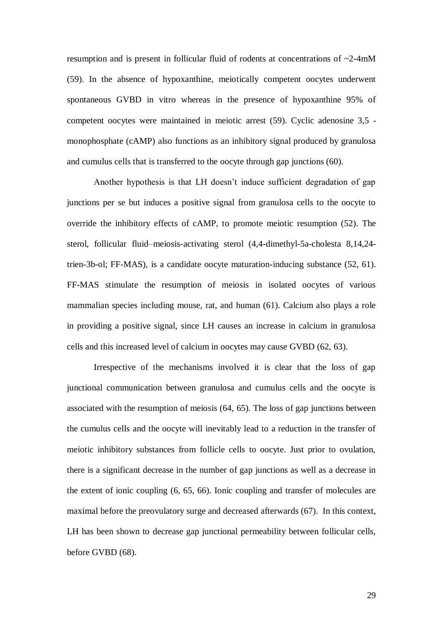resumption and is present in follicular fluid of rodents at concentrations of ~2-4mM (59). In the absence of hypoxanthine, meiotically competent oocytes underwent spontaneous GVBD in vitro whereas in the presence of hypoxanthine 95% of competent oocytes were maintained in meiotic arrest (59). Cyclic adenosine 3,5 monophosphate (cAMP) also functions as an inhibitory signal produced by granulosa and cumulus cells that is transferred to the oocyte through gap junctions (60).

Another hypothesis is that LH doesn"t induce sufficient degradation of gap junctions per se but induces a positive signal from granulosa cells to the oocyte to override the inhibitory effects of cAMP, to promote meiotic resumption (52). The sterol, follicular fluid–meiosis-activating sterol (4,4-dimethyl-5a-cholesta 8,14,24 trien-3b-ol; FF-MAS), is a candidate oocyte maturation-inducing substance (52, 61). FF-MAS stimulate the resumption of meiosis in isolated oocytes of various mammalian species including mouse, rat, and human (61). Calcium also plays a role in providing a positive signal, since LH causes an increase in calcium in granulosa cells and this increased level of calcium in oocytes may cause GVBD (62, 63).

Irrespective of the mechanisms involved it is clear that the loss of gap junctional communication between granulosa and cumulus cells and the oocyte is associated with the resumption of meiosis (64, 65). The loss of gap junctions between the cumulus cells and the oocyte will inevitably lead to a reduction in the transfer of meiotic inhibitory substances from follicle cells to oocyte. Just prior to ovulation, there is a significant decrease in the number of gap junctions as well as a decrease in the extent of ionic coupling (6, 65, 66). Ionic coupling and transfer of molecules are maximal before the preovulatory surge and decreased afterwards (67). In this context, LH has been shown to decrease gap junctional permeability between follicular cells, before GVBD (68).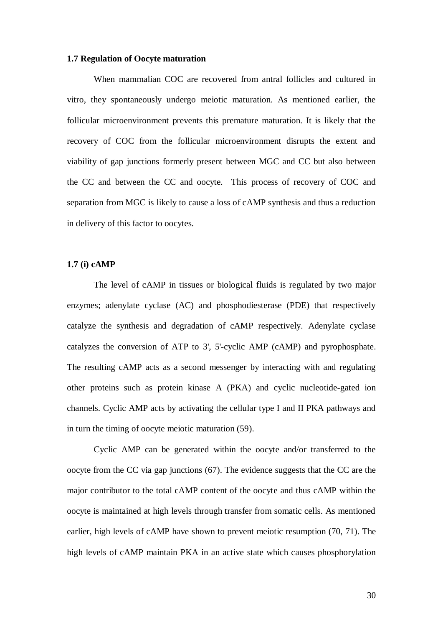#### **1.7 Regulation of Oocyte maturation**

When mammalian COC are recovered from antral follicles and cultured in vitro, they spontaneously undergo meiotic maturation. As mentioned earlier, the follicular microenvironment prevents this premature maturation. It is likely that the recovery of COC from the follicular microenvironment disrupts the extent and viability of gap junctions formerly present between MGC and CC but also between the CC and between the CC and oocyte. This process of recovery of COC and separation from MGC is likely to cause a loss of cAMP synthesis and thus a reduction in delivery of this factor to oocytes.

#### **1.7 (i) cAMP**

The level of cAMP in tissues or biological fluids is regulated by two major enzymes; adenylate cyclase (AC) and phosphodiesterase (PDE) that respectively catalyze the synthesis and degradation of cAMP respectively. Adenylate cyclase catalyzes the conversion of ATP to 3', 5'-cyclic AMP (cAMP) and pyrophosphate. The resulting cAMP acts as a second messenger by interacting with and regulating other proteins such as protein kinase A (PKA) and cyclic nucleotide-gated ion channels. Cyclic AMP acts by activating the cellular type I and II PKA pathways and in turn the timing of oocyte meiotic maturation (59).

Cyclic AMP can be generated within the oocyte and/or transferred to the oocyte from the CC via gap junctions (67). The evidence suggests that the CC are the major contributor to the total cAMP content of the oocyte and thus cAMP within the oocyte is maintained at high levels through transfer from somatic cells. As mentioned earlier, high levels of cAMP have shown to prevent meiotic resumption (70, 71). The high levels of cAMP maintain PKA in an active state which causes phosphorylation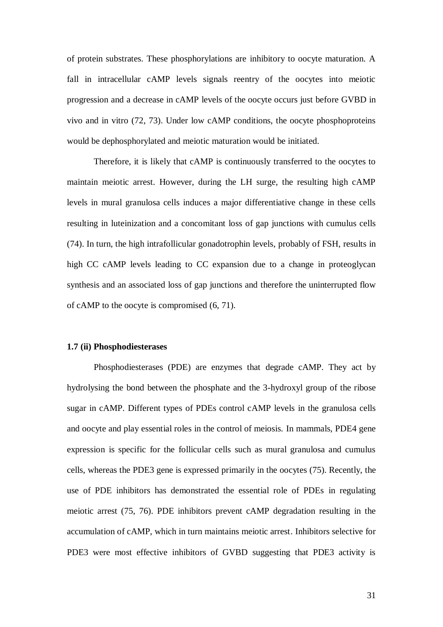of protein substrates. These phosphorylations are inhibitory to oocyte maturation. A fall in intracellular cAMP levels signals reentry of the oocytes into meiotic progression and a decrease in cAMP levels of the oocyte occurs just before GVBD in vivo and in vitro (72, 73). Under low cAMP conditions, the oocyte phosphoproteins would be dephosphorylated and meiotic maturation would be initiated.

Therefore, it is likely that cAMP is continuously transferred to the oocytes to maintain meiotic arrest. However, during the LH surge, the resulting high cAMP levels in mural granulosa cells induces a major differentiative change in these cells resulting in luteinization and a concomitant loss of gap junctions with cumulus cells (74). In turn, the high intrafollicular gonadotrophin levels, probably of FSH, results in high CC cAMP levels leading to CC expansion due to a change in proteoglycan synthesis and an associated loss of gap junctions and therefore the uninterrupted flow of cAMP to the oocyte is compromised (6, 71).

#### **1.7 (ii) Phosphodiesterases**

Phosphodiesterases (PDE) are enzymes that degrade cAMP. They act by hydrolysing the bond between the phosphate and the 3-hydroxyl group of the ribose sugar in cAMP. Different types of PDEs control cAMP levels in the granulosa cells and oocyte and play essential roles in the control of meiosis. In mammals, PDE4 gene expression is specific for the follicular cells such as mural granulosa and cumulus cells, whereas the PDE3 gene is expressed primarily in the oocytes (75). Recently, the use of PDE inhibitors has demonstrated the essential role of PDEs in regulating meiotic arrest (75, 76). PDE inhibitors prevent cAMP degradation resulting in the accumulation of cAMP, which in turn maintains meiotic arrest. Inhibitors selective for PDE3 were most effective inhibitors of GVBD suggesting that PDE3 activity is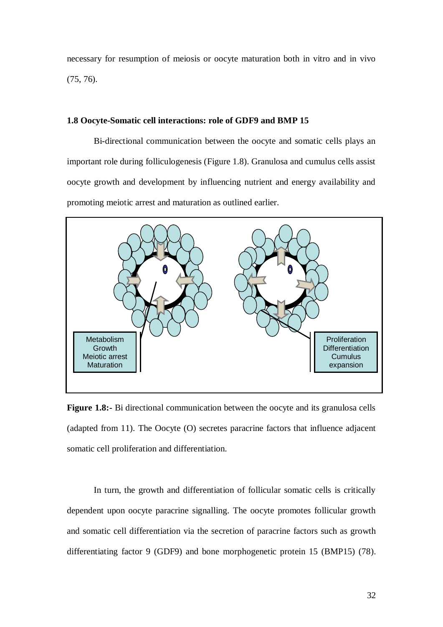necessary for resumption of meiosis or oocyte maturation both in vitro and in vivo (75, 76).

#### **1.8 Oocyte-Somatic cell interactions: role of GDF9 and BMP 15**

Bi-directional communication between the oocyte and somatic cells plays an important role during folliculogenesis (Figure 1.8). Granulosa and cumulus cells assist oocyte growth and development by influencing nutrient and energy availability and promoting meiotic arrest and maturation as outlined earlier.



**Figure 1.8:-** Bi directional communication between the oocyte and its granulosa cells (adapted from 11). The Oocyte (O) secretes paracrine factors that influence adjacent somatic cell proliferation and differentiation.

In turn, the growth and differentiation of follicular somatic cells is critically dependent upon oocyte paracrine signalling. The oocyte promotes follicular growth and somatic cell differentiation via the secretion of paracrine factors such as growth differentiating factor 9 (GDF9) and bone morphogenetic protein 15 (BMP15) (78).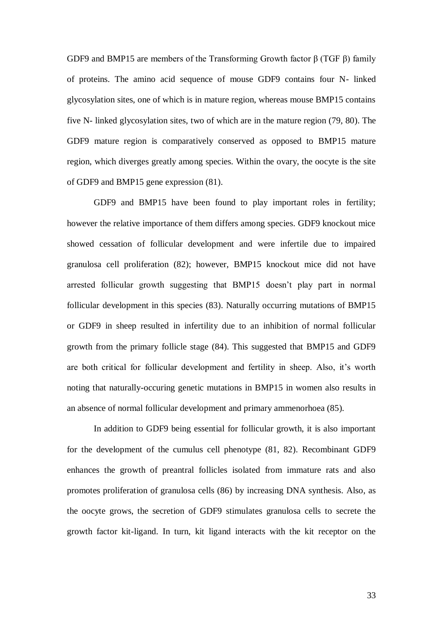GDF9 and BMP15 are members of the Transforming Growth factor β (TGF β) family of proteins. The amino acid sequence of mouse GDF9 contains four N- linked glycosylation sites, one of which is in mature region, whereas mouse BMP15 contains five N- linked glycosylation sites, two of which are in the mature region (79, 80). The GDF9 mature region is comparatively conserved as opposed to BMP15 mature region, which diverges greatly among species. Within the ovary, the oocyte is the site of GDF9 and BMP15 gene expression (81).

GDF9 and BMP15 have been found to play important roles in fertility; however the relative importance of them differs among species. GDF9 knockout mice showed cessation of follicular development and were infertile due to impaired granulosa cell proliferation (82); however, BMP15 knockout mice did not have arrested follicular growth suggesting that BMP15 doesn"t play part in normal follicular development in this species (83). Naturally occurring mutations of BMP15 or GDF9 in sheep resulted in infertility due to an inhibition of normal follicular growth from the primary follicle stage (84). This suggested that BMP15 and GDF9 are both critical for follicular development and fertility in sheep. Also, it's worth noting that naturally-occuring genetic mutations in BMP15 in women also results in an absence of normal follicular development and primary ammenorhoea (85).

In addition to GDF9 being essential for follicular growth, it is also important for the development of the cumulus cell phenotype (81, 82). Recombinant GDF9 enhances the growth of preantral follicles isolated from immature rats and also promotes proliferation of granulosa cells (86) by increasing DNA synthesis. Also, as the oocyte grows, the secretion of GDF9 stimulates granulosa cells to secrete the growth factor kit-ligand. In turn, kit ligand interacts with the kit receptor on the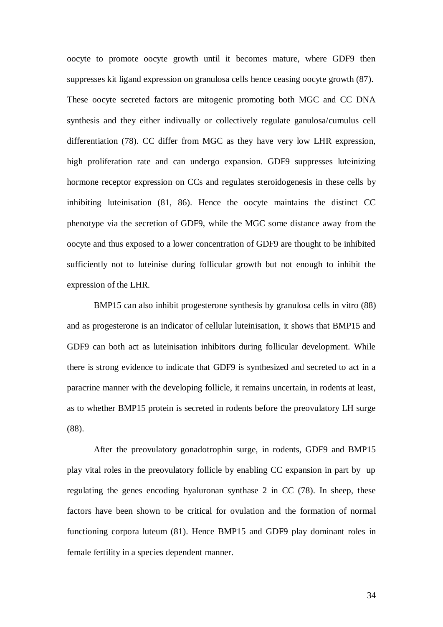oocyte to promote oocyte growth until it becomes mature, where GDF9 then suppresses kit ligand expression on granulosa cells hence ceasing oocyte growth (87). These oocyte secreted factors are mitogenic promoting both MGC and CC DNA synthesis and they either indivually or collectively regulate ganulosa/cumulus cell differentiation (78). CC differ from MGC as they have very low LHR expression, high proliferation rate and can undergo expansion. GDF9 suppresses luteinizing hormone receptor expression on CCs and regulates steroidogenesis in these cells by inhibiting luteinisation (81, 86). Hence the oocyte maintains the distinct CC phenotype via the secretion of GDF9, while the MGC some distance away from the oocyte and thus exposed to a lower concentration of GDF9 are thought to be inhibited sufficiently not to luteinise during follicular growth but not enough to inhibit the expression of the LHR.

BMP15 can also inhibit progesterone synthesis by granulosa cells in vitro (88) and as progesterone is an indicator of cellular luteinisation, it shows that BMP15 and GDF9 can both act as luteinisation inhibitors during follicular development. While there is strong evidence to indicate that GDF9 is synthesized and secreted to act in a paracrine manner with the developing follicle, it remains uncertain, in rodents at least, as to whether BMP15 protein is secreted in rodents before the preovulatory LH surge (88).

After the preovulatory gonadotrophin surge, in rodents, GDF9 and BMP15 play vital roles in the preovulatory follicle by enabling CC expansion in part by up regulating the genes encoding hyaluronan synthase 2 in CC (78). In sheep, these factors have been shown to be critical for ovulation and the formation of normal functioning corpora luteum (81). Hence BMP15 and GDF9 play dominant roles in female fertility in a species dependent manner.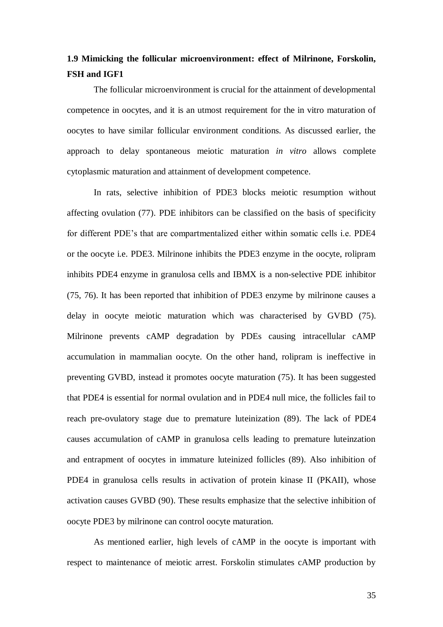### **1.9 Mimicking the follicular microenvironment: effect of Milrinone, Forskolin, FSH and IGF1**

The follicular microenvironment is crucial for the attainment of developmental competence in oocytes, and it is an utmost requirement for the in vitro maturation of oocytes to have similar follicular environment conditions. As discussed earlier, the approach to delay spontaneous meiotic maturation *in vitro* allows complete cytoplasmic maturation and attainment of development competence.

In rats, selective inhibition of PDE3 blocks meiotic resumption without affecting ovulation (77). PDE inhibitors can be classified on the basis of specificity for different PDE"s that are compartmentalized either within somatic cells i.e. PDE4 or the oocyte i.e. PDE3. Milrinone inhibits the PDE3 enzyme in the oocyte, rolipram inhibits PDE4 enzyme in granulosa cells and IBMX is a non-selective PDE inhibitor (75, 76). It has been reported that inhibition of PDE3 enzyme by milrinone causes a delay in oocyte meiotic maturation which was characterised by GVBD (75). Milrinone prevents cAMP degradation by PDEs causing intracellular cAMP accumulation in mammalian oocyte. On the other hand, rolipram is ineffective in preventing GVBD, instead it promotes oocyte maturation (75). It has been suggested that PDE4 is essential for normal ovulation and in PDE4 null mice, the follicles fail to reach pre-ovulatory stage due to premature luteinization (89). The lack of PDE4 causes accumulation of cAMP in granulosa cells leading to premature luteinzation and entrapment of oocytes in immature luteinized follicles (89). Also inhibition of PDE4 in granulosa cells results in activation of protein kinase II (PKAII), whose activation causes GVBD (90). These results emphasize that the selective inhibition of oocyte PDE3 by milrinone can control oocyte maturation.

As mentioned earlier, high levels of cAMP in the oocyte is important with respect to maintenance of meiotic arrest. Forskolin stimulates cAMP production by

35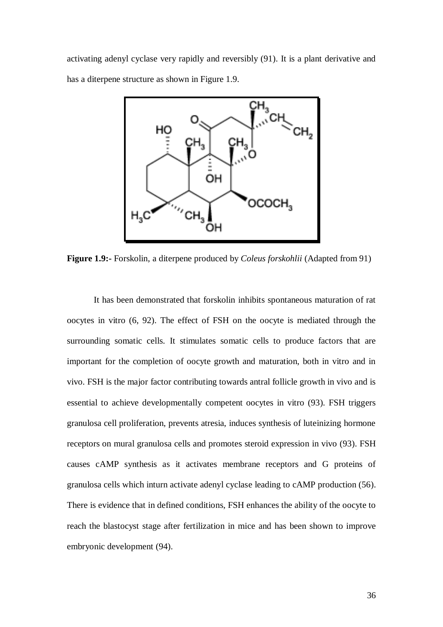activating adenyl cyclase very rapidly and reversibly (91). It is a plant derivative and has a diterpene structure as shown in Figure 1.9.



**Figure 1.9:-** Forskolin, a diterpene produced by *Coleus forskohlii* (Adapted from 91)

It has been demonstrated that forskolin inhibits spontaneous maturation of rat oocytes in vitro (6, 92). The effect of FSH on the oocyte is mediated through the surrounding somatic cells. It stimulates somatic cells to produce factors that are important for the completion of oocyte growth and maturation, both in vitro and in vivo. FSH is the major factor contributing towards antral follicle growth in vivo and is essential to achieve developmentally competent oocytes in vitro (93). FSH triggers granulosa cell proliferation, prevents atresia, induces synthesis of luteinizing hormone receptors on mural granulosa cells and promotes steroid expression in vivo (93). FSH causes cAMP synthesis as it activates membrane receptors and G proteins of granulosa cells which inturn activate adenyl cyclase leading to cAMP production (56). There is evidence that in defined conditions, FSH enhances the ability of the oocyte to reach the blastocyst stage after fertilization in mice and has been shown to improve embryonic development (94).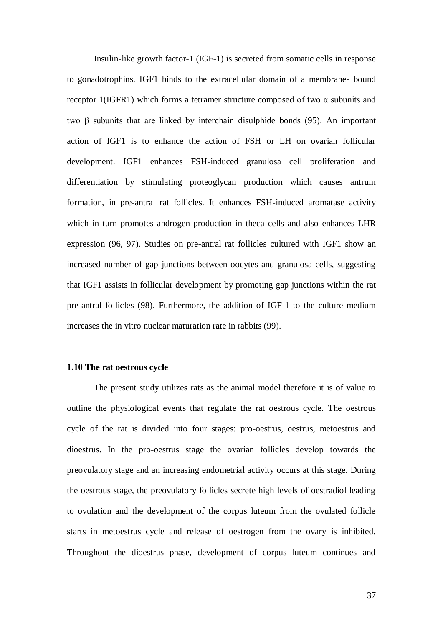Insulin-like growth factor-1 (IGF-1) is secreted from somatic cells in response to gonadotrophins. IGF1 binds to the extracellular domain of a membrane- bound receptor 1(IGFR1) which forms a tetramer structure composed of two α subunits and two β subunits that are linked by interchain disulphide bonds (95). An important action of IGF1 is to enhance the action of FSH or LH on ovarian follicular development. IGF1 enhances FSH-induced granulosa cell proliferation and differentiation by stimulating proteoglycan production which causes antrum formation, in pre-antral rat follicles. It enhances FSH-induced aromatase activity which in turn promotes androgen production in theca cells and also enhances LHR expression (96, 97). Studies on pre-antral rat follicles cultured with IGF1 show an increased number of gap junctions between oocytes and granulosa cells, suggesting that IGF1 assists in follicular development by promoting gap junctions within the rat pre-antral follicles (98). Furthermore, the addition of IGF-1 to the culture medium increases the in vitro nuclear maturation rate in rabbits (99).

#### **1.10 The rat oestrous cycle**

The present study utilizes rats as the animal model therefore it is of value to outline the physiological events that regulate the rat oestrous cycle. The oestrous cycle of the rat is divided into four stages: pro-oestrus, oestrus, metoestrus and dioestrus. In the pro-oestrus stage the ovarian follicles develop towards the preovulatory stage and an increasing endometrial activity occurs at this stage. During the oestrous stage, the preovulatory follicles secrete high levels of oestradiol leading to ovulation and the development of the corpus luteum from the ovulated follicle starts in metoestrus cycle and release of oestrogen from the ovary is inhibited. Throughout the dioestrus phase, development of corpus luteum continues and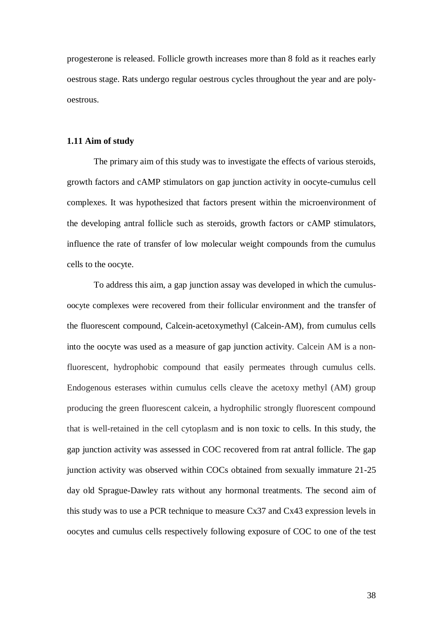progesterone is released. Follicle growth increases more than 8 fold as it reaches early oestrous stage. Rats undergo regular oestrous cycles throughout the year and are polyoestrous.

### **1.11 Aim of study**

The primary aim of this study was to investigate the effects of various steroids, growth factors and cAMP stimulators on gap junction activity in oocyte-cumulus cell complexes. It was hypothesized that factors present within the microenvironment of the developing antral follicle such as steroids, growth factors or cAMP stimulators, influence the rate of transfer of low molecular weight compounds from the cumulus cells to the oocyte.

To address this aim, a gap junction assay was developed in which the cumulusoocyte complexes were recovered from their follicular environment and the transfer of the fluorescent compound, Calcein-acetoxymethyl (Calcein-AM), from cumulus cells into the oocyte was used as a measure of gap junction activity. Calcein AM is a nonfluorescent, hydrophobic compound that easily permeates through cumulus cells. Endogenous esterases within cumulus cells cleave the acetoxy methyl (AM) group producing the green fluorescent calcein, a hydrophilic strongly fluorescent compound that is well-retained in the cell cytoplasm and is non toxic to cells. In this study, the gap junction activity was assessed in COC recovered from rat antral follicle. The gap junction activity was observed within COCs obtained from sexually immature 21-25 day old Sprague-Dawley rats without any hormonal treatments. The second aim of this study was to use a PCR technique to measure Cx37 and Cx43 expression levels in oocytes and cumulus cells respectively following exposure of COC to one of the test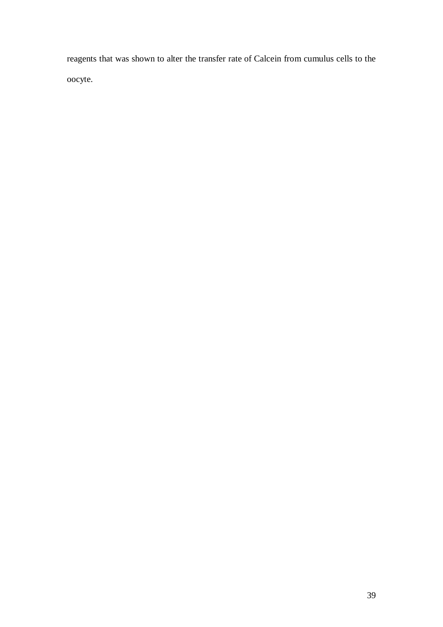reagents that was shown to alter the transfer rate of Calcein from cumulus cells to the oocyte.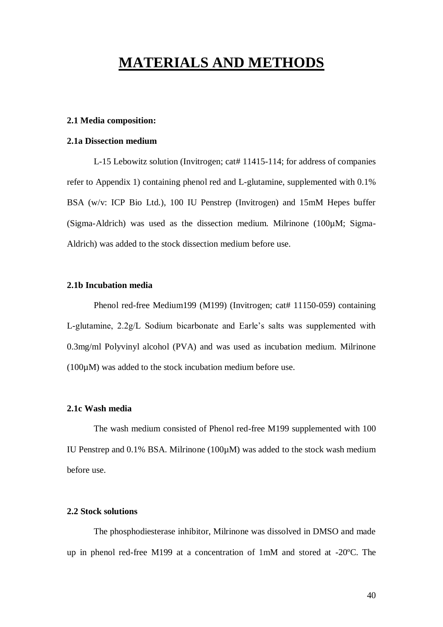# **MATERIALS AND METHODS**

# **2.1 Media composition:**

# **2.1a Dissection medium**

L-15 Lebowitz solution (Invitrogen; cat# 11415-114; for address of companies refer to Appendix 1) containing phenol red and L-glutamine, supplemented with 0.1% BSA (w/v: ICP Bio Ltd.), 100 IU Penstrep (Invitrogen) and 15mM Hepes buffer (Sigma-Aldrich) was used as the dissection medium. Milrinone (100µM; Sigma-Aldrich) was added to the stock dissection medium before use.

# **2.1b Incubation media**

Phenol red-free Medium199 (M199) (Invitrogen; cat# 11150-059) containing L-glutamine, 2.2g/L Sodium bicarbonate and Earle"s salts was supplemented with 0.3mg/ml Polyvinyl alcohol (PVA) and was used as incubation medium. Milrinone  $(100\mu)$  was added to the stock incubation medium before use.

# **2.1c Wash media**

The wash medium consisted of Phenol red-free M199 supplemented with 100 IU Penstrep and 0.1% BSA. Milrinone (100µM) was added to the stock wash medium before use.

# **2.2 Stock solutions**

The phosphodiesterase inhibitor, Milrinone was dissolved in DMSO and made up in phenol red-free M199 at a concentration of 1mM and stored at -20ºC. The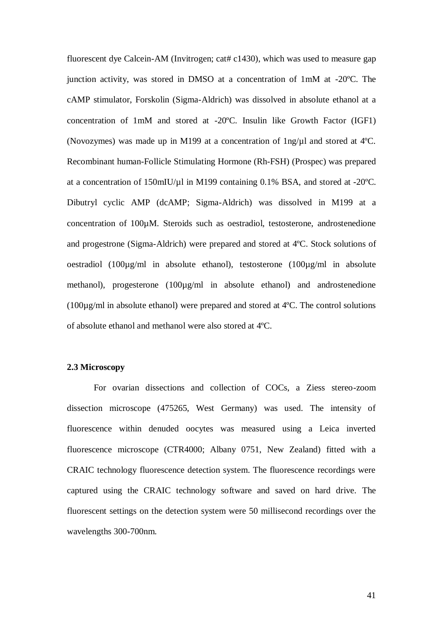fluorescent dye Calcein-AM (Invitrogen; cat# c1430), which was used to measure gap junction activity, was stored in DMSO at a concentration of 1mM at -20ºC. The cAMP stimulator, Forskolin (Sigma-Aldrich) was dissolved in absolute ethanol at a concentration of 1mM and stored at -20ºC. Insulin like Growth Factor (IGF1) (Novozymes) was made up in M199 at a concentration of  $\ln g/\mu$ l and stored at 4°C. Recombinant human-Follicle Stimulating Hormone (Rh-FSH) (Prospec) was prepared at a concentration of 150mIU/µl in M199 containing 0.1% BSA, and stored at -20ºC. Dibutryl cyclic AMP (dcAMP; Sigma-Aldrich) was dissolved in M199 at a concentration of 100µM. Steroids such as oestradiol, testosterone, androstenedione and progestrone (Sigma-Aldrich) were prepared and stored at 4ºC. Stock solutions of oestradiol (100µg/ml in absolute ethanol), testosterone (100µg/ml in absolute methanol), progesterone (100µg/ml in absolute ethanol) and androstenedione (100µg/ml in absolute ethanol) were prepared and stored at 4ºC. The control solutions of absolute ethanol and methanol were also stored at 4ºC.

# **2.3 Microscopy**

For ovarian dissections and collection of COCs, a Ziess stereo-zoom dissection microscope (475265, West Germany) was used. The intensity of fluorescence within denuded oocytes was measured using a Leica inverted fluorescence microscope (CTR4000; Albany 0751, New Zealand) fitted with a CRAIC technology fluorescence detection system. The fluorescence recordings were captured using the CRAIC technology software and saved on hard drive. The fluorescent settings on the detection system were 50 millisecond recordings over the wavelengths 300-700nm.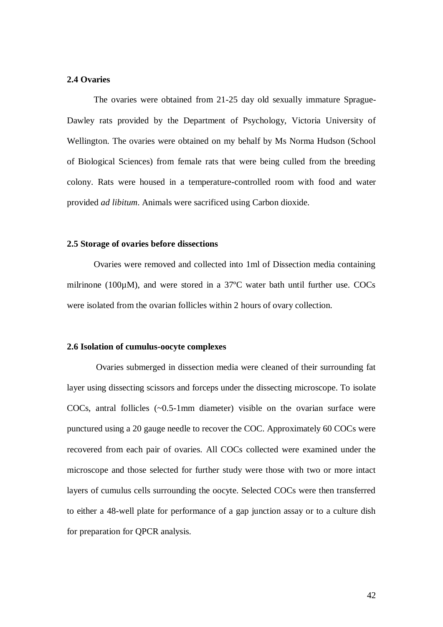# **2.4 Ovaries**

The ovaries were obtained from 21-25 day old sexually immature Sprague-Dawley rats provided by the Department of Psychology, Victoria University of Wellington. The ovaries were obtained on my behalf by Ms Norma Hudson (School of Biological Sciences) from female rats that were being culled from the breeding colony. Rats were housed in a temperature-controlled room with food and water provided *ad libitum*. Animals were sacrificed using Carbon dioxide.

#### **2.5 Storage of ovaries before dissections**

Ovaries were removed and collected into 1ml of Dissection media containing milrinone (100µM), and were stored in a 37°C water bath until further use. COCs were isolated from the ovarian follicles within 2 hours of ovary collection.

#### **2.6 Isolation of cumulus-oocyte complexes**

Ovaries submerged in dissection media were cleaned of their surrounding fat layer using dissecting scissors and forceps under the dissecting microscope. To isolate COCs, antral follicles (~0.5-1mm diameter) visible on the ovarian surface were punctured using a 20 gauge needle to recover the COC. Approximately 60 COCs were recovered from each pair of ovaries. All COCs collected were examined under the microscope and those selected for further study were those with two or more intact layers of cumulus cells surrounding the oocyte. Selected COCs were then transferred to either a 48-well plate for performance of a gap junction assay or to a culture dish for preparation for QPCR analysis.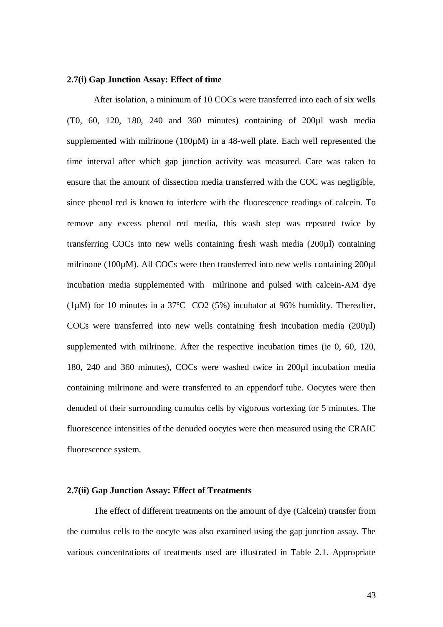# **2.7(i) Gap Junction Assay: Effect of time**

After isolation, a minimum of 10 COCs were transferred into each of six wells (T0, 60, 120, 180, 240 and 360 minutes) containing of 200µl wash media supplemented with milrinone  $(100\mu)$  in a 48-well plate. Each well represented the time interval after which gap junction activity was measured. Care was taken to ensure that the amount of dissection media transferred with the COC was negligible, since phenol red is known to interfere with the fluorescence readings of calcein. To remove any excess phenol red media, this wash step was repeated twice by transferring COCs into new wells containing fresh wash media (200µl) containing milrinone (100µM). All COCs were then transferred into new wells containing 200µl incubation media supplemented with milrinone and pulsed with calcein-AM dye (1µM) for 10 minutes in a 37ºC CO2 (5%) incubator at 96% humidity. Thereafter, COCs were transferred into new wells containing fresh incubation media (200µl) supplemented with milrinone. After the respective incubation times (ie 0, 60, 120, 180, 240 and 360 minutes), COCs were washed twice in 200µl incubation media containing milrinone and were transferred to an eppendorf tube. Oocytes were then denuded of their surrounding cumulus cells by vigorous vortexing for 5 minutes. The fluorescence intensities of the denuded oocytes were then measured using the CRAIC fluorescence system.

#### **2.7(ii) Gap Junction Assay: Effect of Treatments**

The effect of different treatments on the amount of dye (Calcein) transfer from the cumulus cells to the oocyte was also examined using the gap junction assay. The various concentrations of treatments used are illustrated in Table 2.1. Appropriate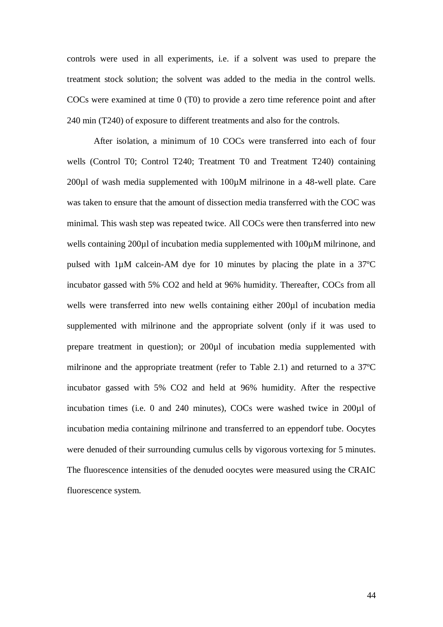controls were used in all experiments, i.e. if a solvent was used to prepare the treatment stock solution; the solvent was added to the media in the control wells. COCs were examined at time 0 (T0) to provide a zero time reference point and after 240 min (T240) of exposure to different treatments and also for the controls.

After isolation, a minimum of 10 COCs were transferred into each of four wells (Control T0; Control T240; Treatment T0 and Treatment T240) containing 200µl of wash media supplemented with 100µM milrinone in a 48-well plate. Care was taken to ensure that the amount of dissection media transferred with the COC was minimal. This wash step was repeated twice. All COCs were then transferred into new wells containing 200µl of incubation media supplemented with 100µM milrinone, and pulsed with 1µM calcein-AM dye for 10 minutes by placing the plate in a 37ºC incubator gassed with 5% CO2 and held at 96% humidity. Thereafter, COCs from all wells were transferred into new wells containing either 200µl of incubation media supplemented with milrinone and the appropriate solvent (only if it was used to prepare treatment in question); or 200µl of incubation media supplemented with milrinone and the appropriate treatment (refer to Table 2.1) and returned to a 37ºC incubator gassed with 5% CO2 and held at 96% humidity. After the respective incubation times (i.e. 0 and 240 minutes), COCs were washed twice in 200µl of incubation media containing milrinone and transferred to an eppendorf tube. Oocytes were denuded of their surrounding cumulus cells by vigorous vortexing for 5 minutes. The fluorescence intensities of the denuded oocytes were measured using the CRAIC fluorescence system.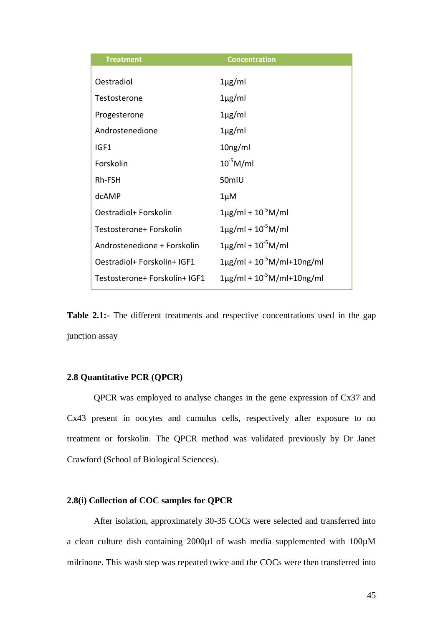| <b>Treatment</b>              | <b>Concentration</b>                 |
|-------------------------------|--------------------------------------|
|                               |                                      |
| Oestradiol                    | $1\mu$ g/ml                          |
| Testosterone                  | $1\mu$ g/ml                          |
| Progesterone                  | $1\mu$ g/ml                          |
| Androstenedione               | $1\mu$ g/ml                          |
| IGF1                          | 10 <sub>ng</sub> /ml                 |
| Forskolin                     | $10^{-5}$ M/ml                       |
| Rh-FSH                        | 50mIU                                |
| dcAMP                         | $1 \mu M$                            |
| Oestradiol+ Forskolin         | $1\mu$ g/ml + $10^{-5}$ M/ml         |
| Testosterone+ Forskolin       | $1\mu$ g/ml + $10^{-5}$ M/ml         |
| Androstenedione + Forskolin   | $1\mu$ g/ml + $10^{-5}$ M/ml         |
| Oestradiol+ Forskolin+ IGF1   | $1\mu$ g/ml + $10^{-5}$ M/ml+10ng/ml |
| Testosterone+ Forskolin+ IGF1 | $1\mu$ g/ml + $10^{-5}$ M/ml+10ng/ml |

**Table 2.1:-** The different treatments and respective concentrations used in the gap junction assay

# **2.8 Quantitative PCR (QPCR)**

QPCR was employed to analyse changes in the gene expression of Cx37 and Cx43 present in oocytes and cumulus cells, respectively after exposure to no treatment or forskolin. The QPCR method was validated previously by Dr Janet Crawford (School of Biological Sciences).

# **2.8(i) Collection of COC samples for QPCR**

After isolation, approximately 30-35 COCs were selected and transferred into a clean culture dish containing 2000µl of wash media supplemented with 100µM milrinone. This wash step was repeated twice and the COCs were then transferred into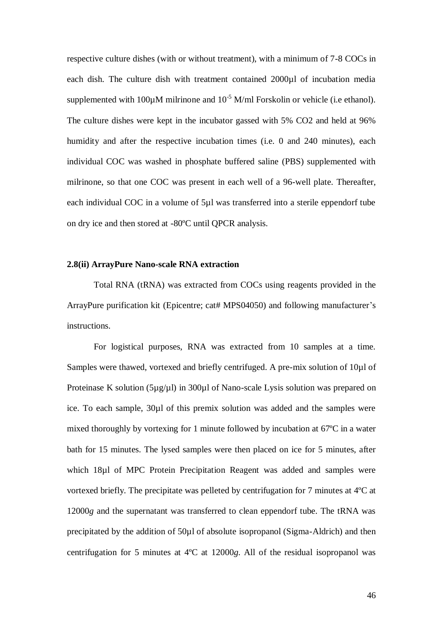respective culture dishes (with or without treatment), with a minimum of 7-8 COCs in each dish. The culture dish with treatment contained 2000ul of incubation media supplemented with 100 $\mu$ M milrinone and 10<sup>-5</sup> M/ml Forskolin or vehicle (i.e ethanol). The culture dishes were kept in the incubator gassed with 5% CO2 and held at 96% humidity and after the respective incubation times (i.e. 0 and 240 minutes), each individual COC was washed in phosphate buffered saline (PBS) supplemented with milrinone, so that one COC was present in each well of a 96-well plate. Thereafter, each individual COC in a volume of 5µl was transferred into a sterile eppendorf tube on dry ice and then stored at -80ºC until QPCR analysis.

# **2.8(ii) ArrayPure Nano-scale RNA extraction**

Total RNA (tRNA) was extracted from COCs using reagents provided in the ArrayPure purification kit (Epicentre; cat# MPS04050) and following manufacturer's instructions.

For logistical purposes, RNA was extracted from 10 samples at a time. Samples were thawed, vortexed and briefly centrifuged. A pre-mix solution of 10µl of Proteinase K solution (5µg/µl) in 300µl of Nano-scale Lysis solution was prepared on ice. To each sample, 30µl of this premix solution was added and the samples were mixed thoroughly by vortexing for 1 minute followed by incubation at 67ºC in a water bath for 15 minutes. The lysed samples were then placed on ice for 5 minutes, after which 18µl of MPC Protein Precipitation Reagent was added and samples were vortexed briefly. The precipitate was pelleted by centrifugation for 7 minutes at 4ºC at 12000*g* and the supernatant was transferred to clean eppendorf tube. The tRNA was precipitated by the addition of 50µl of absolute isopropanol (Sigma-Aldrich) and then centrifugation for 5 minutes at 4ºC at 12000*g*. All of the residual isopropanol was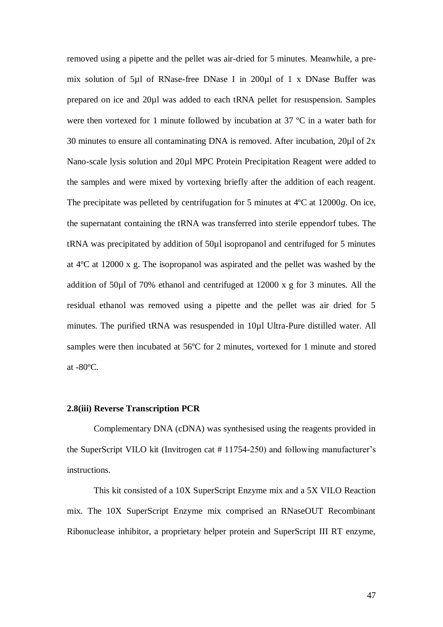removed using a pipette and the pellet was air-dried for 5 minutes. Meanwhile, a premix solution of 5µl of RNase-free DNase I in 200µl of 1 x DNase Buffer was prepared on ice and 20µl was added to each tRNA pellet for resuspension. Samples were then vortexed for 1 minute followed by incubation at 37 ºC in a water bath for 30 minutes to ensure all contaminating DNA is removed. After incubation, 20µl of 2x Nano-scale lysis solution and 20µl MPC Protein Precipitation Reagent were added to the samples and were mixed by vortexing briefly after the addition of each reagent. The precipitate was pelleted by centrifugation for 5 minutes at 4ºC at 12000*g*. On ice, the supernatant containing the tRNA was transferred into sterile eppendorf tubes. The tRNA was precipitated by addition of 50µl isopropanol and centrifuged for 5 minutes at 4ºC at 12000 x g. The isopropanol was aspirated and the pellet was washed by the addition of 50µl of 70% ethanol and centrifuged at 12000 x g for 3 minutes. All the residual ethanol was removed using a pipette and the pellet was air dried for 5 minutes. The purified tRNA was resuspended in 10µl Ultra-Pure distilled water. All samples were then incubated at 56°C for 2 minutes, vortexed for 1 minute and stored at -80ºC.

# **2.8(iii) Reverse Transcription PCR**

Complementary DNA (cDNA) was synthesised using the reagents provided in the SuperScript VILO kit (Invitrogen cat # 11754-250) and following manufacturer"s instructions.

This kit consisted of a 10X SuperScript Enzyme mix and a 5X VILO Reaction mix. The 10X SuperScript Enzyme mix comprised an RNaseOUT Recombinant Ribonuclease inhibitor, a proprietary helper protein and SuperScript III RT enzyme,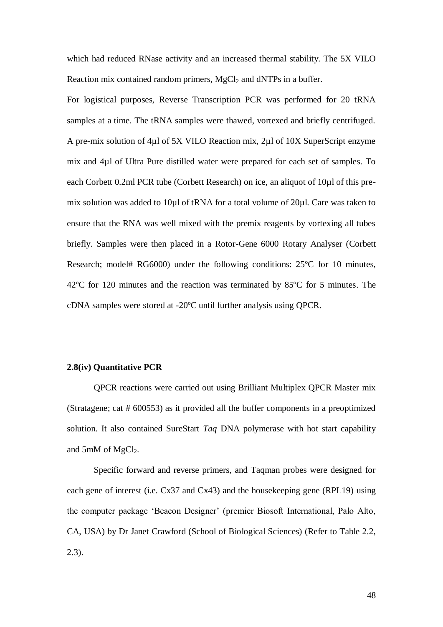which had reduced RNase activity and an increased thermal stability. The 5X VILO Reaction mix contained random primers,  $MgCl<sub>2</sub>$  and dNTPs in a buffer.

For logistical purposes, Reverse Transcription PCR was performed for 20 tRNA samples at a time. The tRNA samples were thawed, vortexed and briefly centrifuged. A pre-mix solution of 4µl of 5X VILO Reaction mix, 2µl of 10X SuperScript enzyme mix and 4µl of Ultra Pure distilled water were prepared for each set of samples. To each Corbett 0.2ml PCR tube (Corbett Research) on ice, an aliquot of 10µl of this premix solution was added to 10µl of tRNA for a total volume of 20µl. Care was taken to ensure that the RNA was well mixed with the premix reagents by vortexing all tubes briefly. Samples were then placed in a Rotor-Gene 6000 Rotary Analyser (Corbett Research; model# RG6000) under the following conditions: 25ºC for 10 minutes, 42ºC for 120 minutes and the reaction was terminated by 85ºC for 5 minutes. The cDNA samples were stored at -20ºC until further analysis using QPCR.

# **2.8(iv) Quantitative PCR**

QPCR reactions were carried out using Brilliant Multiplex QPCR Master mix (Stratagene; cat # 600553) as it provided all the buffer components in a preoptimized solution. It also contained SureStart *Taq* DNA polymerase with hot start capability and 5mM of  $MgCl<sub>2</sub>$ .

Specific forward and reverse primers, and Taqman probes were designed for each gene of interest (i.e. Cx37 and Cx43) and the housekeeping gene (RPL19) using the computer package "Beacon Designer" (premier Biosoft International, Palo Alto, CA, USA) by Dr Janet Crawford (School of Biological Sciences) (Refer to Table 2.2, 2.3).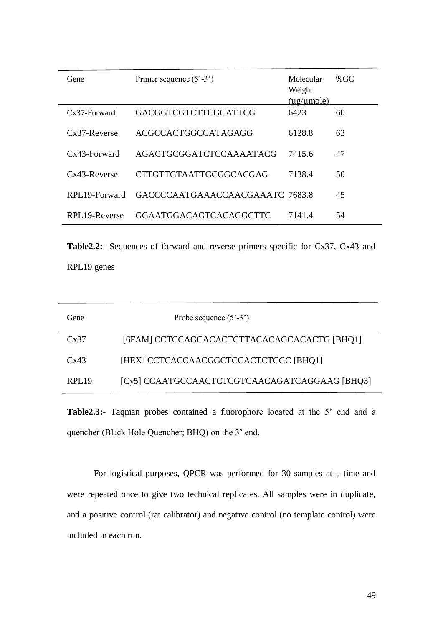| Gene            | Primer sequence $(5' - 3')$     | Molecular<br>Weight<br>$(\mu$ g/ $\mu$ mole) | % $GC$ |
|-----------------|---------------------------------|----------------------------------------------|--------|
| $Cx37-Forward$  | <b>GACGGTCGTCTTCGCATTCG</b>     | 6423                                         | 60     |
| $Cx37-Reverse$  | ACGCCACTGGCCATAGAGG             | 6128.8                                       | 63     |
| Cx43-Forward    | AGACTGCGGATCTCCAAAATACG         | 7415.6                                       | 47     |
| $Cx43$ -Reverse | <b>CTTGTTGTAATTGCGGCACGAG</b>   | 7138.4                                       | 50     |
| RPL19-Forward   | GACCCCAATGAAACCAACGAAATC 7683.8 |                                              | 45     |
| RPL19-Reverse   | <b>GGAATGGACAGTCACAGGCTTC</b>   | 7141.4                                       | 54     |

**Table2.2:-** Sequences of forward and reverse primers specific for Cx37, Cx43 and RPL19 genes

| Gene              | Probe sequence $(5^{\degree} - 3^{\degree})$  |
|-------------------|-----------------------------------------------|
| Cx37              | [6FAM] CCTCCAGCACACTCTTACACAGCACACTG [BHQ1]   |
| Cx43              | [HEX] CCTCACCAACGGCTCCACTCTCGC [BHQ1]         |
| RPL <sub>19</sub> | [Cy5] CCAATGCCAACTCTCGTCAACAGATCAGGAAG [BHQ3] |

**Table2.3:-** Taqman probes contained a fluorophore located at the 5' end and a quencher (Black Hole Quencher; BHQ) on the 3' end.

For logistical purposes, QPCR was performed for 30 samples at a time and were repeated once to give two technical replicates. All samples were in duplicate, and a positive control (rat calibrator) and negative control (no template control) were included in each run.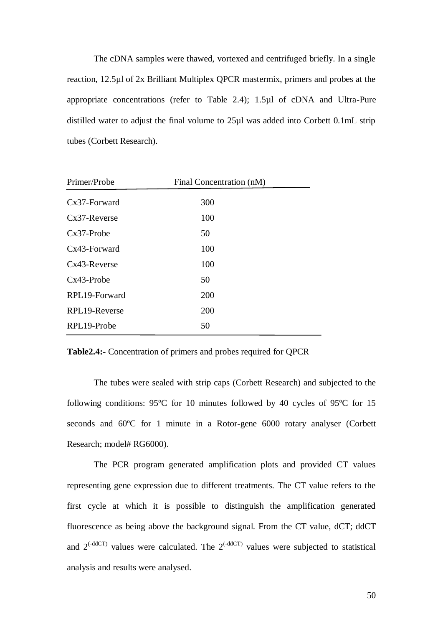The cDNA samples were thawed, vortexed and centrifuged briefly. In a single reaction, 12.5µl of 2x Brilliant Multiplex QPCR mastermix, primers and probes at the appropriate concentrations (refer to Table 2.4); 1.5µl of cDNA and Ultra-Pure distilled water to adjust the final volume to 25µl was added into Corbett 0.1mL strip tubes (Corbett Research).

| Primer/Probe    | Final Concentration (nM) |  |
|-----------------|--------------------------|--|
| Cx37-Forward    | 300                      |  |
| $Cx37$ -Reverse | 100                      |  |
| $Cx37-Probe$    | 50                       |  |
| Cx43-Forward    | 100                      |  |
| $Cx43$ -Reverse | 100                      |  |
| $Cx43-Probe$    | 50                       |  |
| RPL19-Forward   | 200                      |  |
| RPL19-Reverse   | 200                      |  |
| RPL19-Probe     | 50                       |  |

**Table2.4:-** Concentration of primers and probes required for QPCR

The tubes were sealed with strip caps (Corbett Research) and subjected to the following conditions: 95ºC for 10 minutes followed by 40 cycles of 95ºC for 15 seconds and 60ºC for 1 minute in a Rotor-gene 6000 rotary analyser (Corbett Research; model# RG6000).

The PCR program generated amplification plots and provided CT values representing gene expression due to different treatments. The CT value refers to the first cycle at which it is possible to distinguish the amplification generated fluorescence as being above the background signal. From the CT value, dCT; ddCT and  $2^{(-ddCT)}$  values were calculated. The  $2^{(-ddCT)}$  values were subjected to statistical analysis and results were analysed.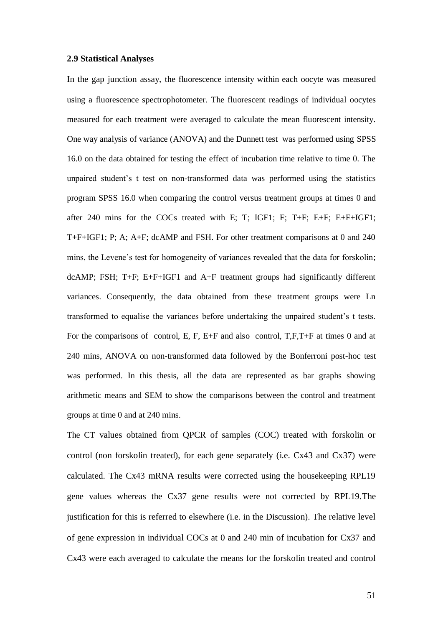#### **2.9 Statistical Analyses**

In the gap junction assay, the fluorescence intensity within each oocyte was measured using a fluorescence spectrophotometer. The fluorescent readings of individual oocytes measured for each treatment were averaged to calculate the mean fluorescent intensity. One way analysis of variance (ANOVA) and the Dunnett test was performed using SPSS 16.0 on the data obtained for testing the effect of incubation time relative to time 0. The unpaired student"s t test on non-transformed data was performed using the statistics program SPSS 16.0 when comparing the control versus treatment groups at times 0 and after 240 mins for the COCs treated with E; T; IGF1; F; T+F; E+F; E+F+IGF1; T+F+IGF1; P; A; A+F; dcAMP and FSH. For other treatment comparisons at 0 and 240 mins, the Levene"s test for homogeneity of variances revealed that the data for forskolin; dcAMP; FSH; T+F; E+F+IGF1 and A+F treatment groups had significantly different variances. Consequently, the data obtained from these treatment groups were Ln transformed to equalise the variances before undertaking the unpaired student"s t tests. For the comparisons of control, E, F, E+F and also control, T,F,T+F at times 0 and at 240 mins, ANOVA on non-transformed data followed by the Bonferroni post-hoc test was performed. In this thesis, all the data are represented as bar graphs showing arithmetic means and SEM to show the comparisons between the control and treatment groups at time 0 and at 240 mins.

The CT values obtained from QPCR of samples (COC) treated with forskolin or control (non forskolin treated), for each gene separately (i.e. Cx43 and Cx37) were calculated. The Cx43 mRNA results were corrected using the housekeeping RPL19 gene values whereas the Cx37 gene results were not corrected by RPL19.The justification for this is referred to elsewhere (i.e. in the Discussion). The relative level of gene expression in individual COCs at 0 and 240 min of incubation for Cx37 and Cx43 were each averaged to calculate the means for the forskolin treated and control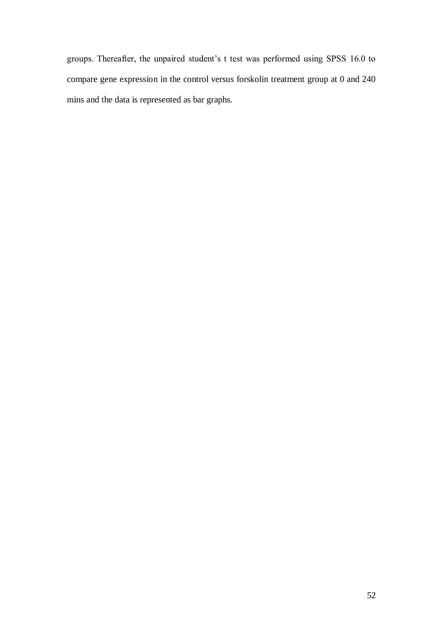groups. Thereafter, the unpaired student"s t test was performed using SPSS 16.0 to compare gene expression in the control versus forskolin treatment group at 0 and 240 mins and the data is represented as bar graphs.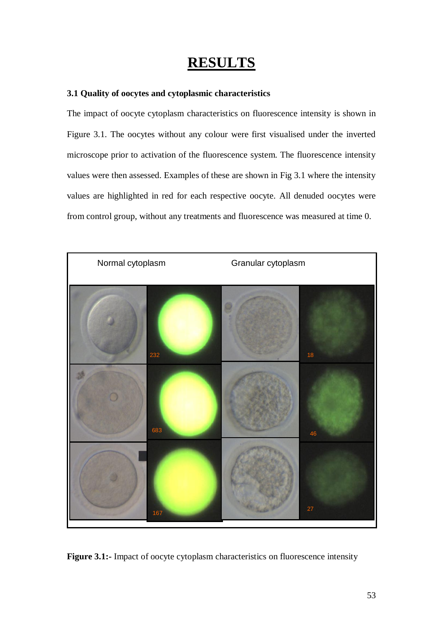# **RESULTS**

# **3.1 Quality of oocytes and cytoplasmic characteristics**

The impact of oocyte cytoplasm characteristics on fluorescence intensity is shown in Figure 3.1. The oocytes without any colour were first visualised under the inverted microscope prior to activation of the fluorescence system. The fluorescence intensity values were then assessed. Examples of these are shown in Fig 3.1 where the intensity values are highlighted in red for each respective oocyte. All denuded oocytes were from control group, without any treatments and fluorescence was measured at time 0.



**Figure 3.1:-** Impact of oocyte cytoplasm characteristics on fluorescence intensity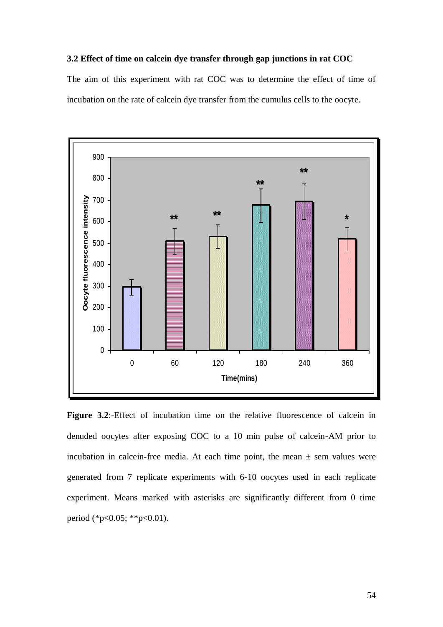# **3.2 Effect of time on calcein dye transfer through gap junctions in rat COC**

The aim of this experiment with rat COC was to determine the effect of time of incubation on the rate of calcein dye transfer from the cumulus cells to the oocyte.



**Figure 3.2:**-Effect of incubation time on the relative fluorescence of calcein in denuded oocytes after exposing COC to a 10 min pulse of calcein-AM prior to incubation in calcein-free media. At each time point, the mean  $\pm$  sem values were generated from 7 replicate experiments with 6-10 oocytes used in each replicate experiment. Means marked with asterisks are significantly different from 0 time period (\*p<0.05; \*\*p<0.01).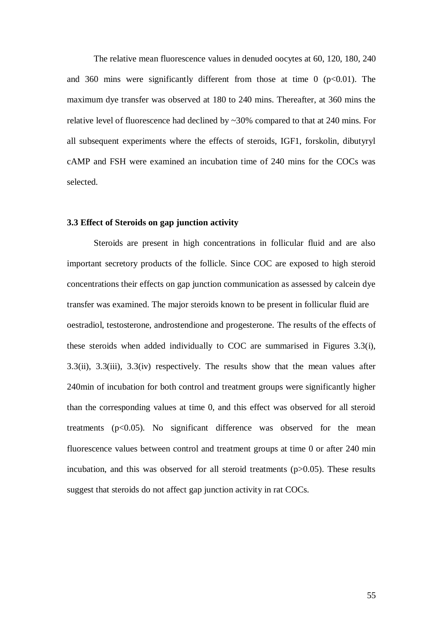The relative mean fluorescence values in denuded oocytes at 60, 120, 180, 240 and 360 mins were significantly different from those at time  $0$  ( $p<0.01$ ). The maximum dye transfer was observed at 180 to 240 mins. Thereafter, at 360 mins the relative level of fluorescence had declined by ~30% compared to that at 240 mins. For all subsequent experiments where the effects of steroids, IGF1, forskolin, dibutyryl cAMP and FSH were examined an incubation time of 240 mins for the COCs was selected.

#### **3.3 Effect of Steroids on gap junction activity**

Steroids are present in high concentrations in follicular fluid and are also important secretory products of the follicle. Since COC are exposed to high steroid concentrations their effects on gap junction communication as assessed by calcein dye transfer was examined. The major steroids known to be present in follicular fluid are oestradiol, testosterone, androstendione and progesterone. The results of the effects of these steroids when added individually to COC are summarised in Figures 3.3(i), 3.3(ii), 3.3(iii), 3.3(iv) respectively. The results show that the mean values after 240min of incubation for both control and treatment groups were significantly higher than the corresponding values at time 0, and this effect was observed for all steroid treatments  $(p<0.05)$ . No significant difference was observed for the mean fluorescence values between control and treatment groups at time 0 or after 240 min incubation, and this was observed for all steroid treatments (p>0.05). These results suggest that steroids do not affect gap junction activity in rat COCs.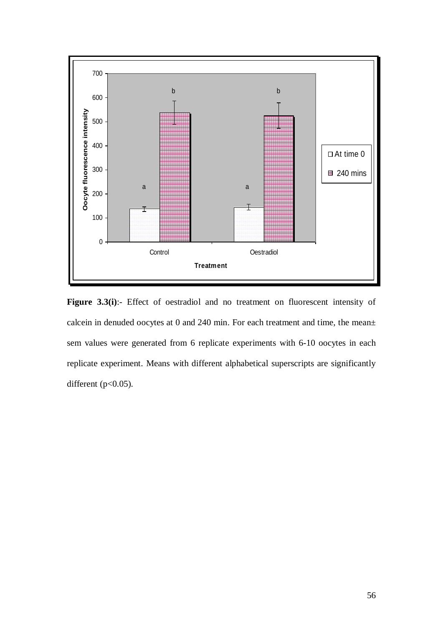

Figure 3.3(i):- Effect of oestradiol and no treatment on fluorescent intensity of calcein in denuded oocytes at 0 and 240 min. For each treatment and time, the mean± sem values were generated from 6 replicate experiments with 6-10 oocytes in each replicate experiment. Means with different alphabetical superscripts are significantly different  $(p<0.05)$ .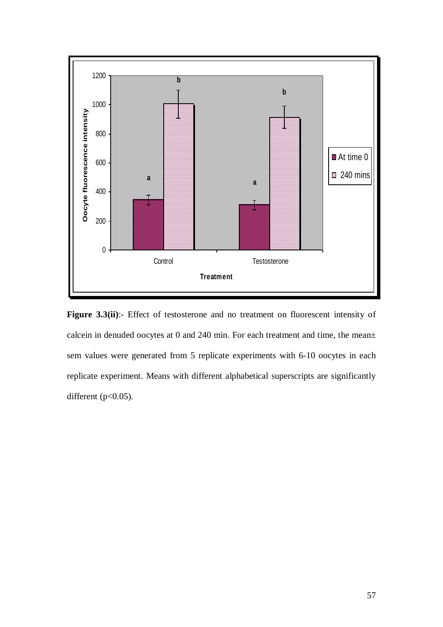

Figure 3.3(ii):- Effect of testosterone and no treatment on fluorescent intensity of calcein in denuded oocytes at 0 and 240 min. For each treatment and time, the mean± sem values were generated from 5 replicate experiments with 6-10 oocytes in each replicate experiment. Means with different alphabetical superscripts are significantly different ( $p<0.05$ ).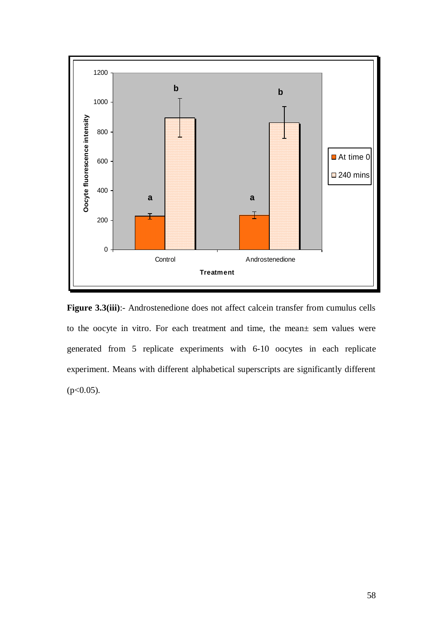

Figure 3.3(iii):- Androstenedione does not affect calcein transfer from cumulus cells to the oocyte in vitro. For each treatment and time, the mean± sem values were generated from 5 replicate experiments with 6-10 oocytes in each replicate experiment. Means with different alphabetical superscripts are significantly different  $(p<0.05)$ .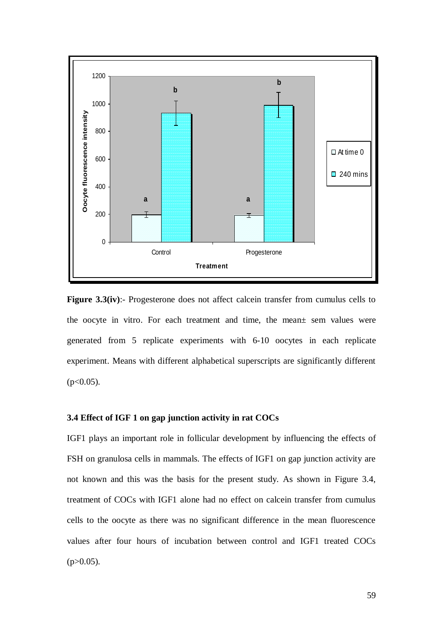

**Figure 3.3(iv):**- Progesterone does not affect calcein transfer from cumulus cells to the oocyte in vitro. For each treatment and time, the mean± sem values were generated from 5 replicate experiments with 6-10 oocytes in each replicate experiment. Means with different alphabetical superscripts are significantly different  $(p<0.05)$ .

# **3.4 Effect of IGF 1 on gap junction activity in rat COCs**

IGF1 plays an important role in follicular development by influencing the effects of FSH on granulosa cells in mammals. The effects of IGF1 on gap junction activity are not known and this was the basis for the present study. As shown in Figure 3.4, treatment of COCs with IGF1 alone had no effect on calcein transfer from cumulus cells to the oocyte as there was no significant difference in the mean fluorescence values after four hours of incubation between control and IGF1 treated COCs  $(p>0.05)$ .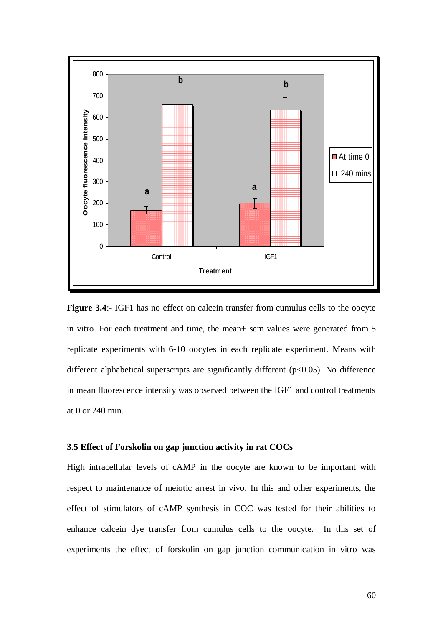

**Figure 3.4**:- IGF1 has no effect on calcein transfer from cumulus cells to the oocyte in vitro. For each treatment and time, the mean± sem values were generated from 5 replicate experiments with 6-10 oocytes in each replicate experiment. Means with different alphabetical superscripts are significantly different (p<0.05). No difference in mean fluorescence intensity was observed between the IGF1 and control treatments at 0 or 240 min.

#### **3.5 Effect of Forskolin on gap junction activity in rat COCs**

High intracellular levels of cAMP in the oocyte are known to be important with respect to maintenance of meiotic arrest in vivo. In this and other experiments, the effect of stimulators of cAMP synthesis in COC was tested for their abilities to enhance calcein dye transfer from cumulus cells to the oocyte. In this set of experiments the effect of forskolin on gap junction communication in vitro was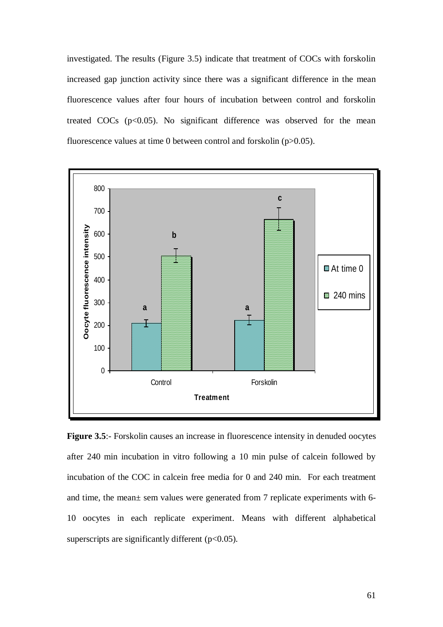investigated. The results (Figure 3.5) indicate that treatment of COCs with forskolin increased gap junction activity since there was a significant difference in the mean fluorescence values after four hours of incubation between control and forskolin treated COCs  $(p<0.05)$ . No significant difference was observed for the mean fluorescence values at time 0 between control and forskolin (p>0.05).



**Figure 3.5**:- Forskolin causes an increase in fluorescence intensity in denuded oocytes after 240 min incubation in vitro following a 10 min pulse of calcein followed by incubation of the COC in calcein free media for 0 and 240 min. For each treatment and time, the mean± sem values were generated from 7 replicate experiments with 6- 10 oocytes in each replicate experiment. Means with different alphabetical superscripts are significantly different  $(p<0.05)$ .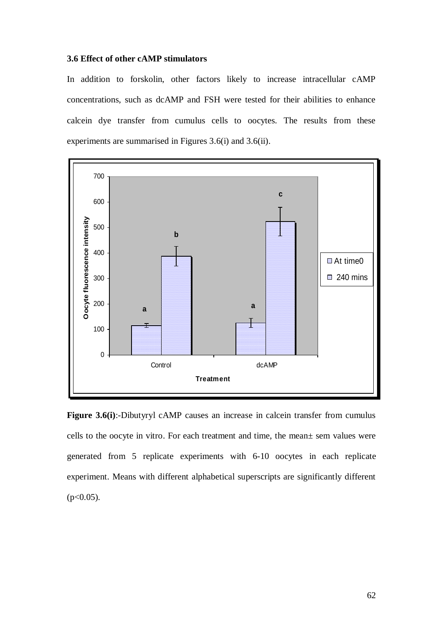# **3.6 Effect of other cAMP stimulators**

In addition to forskolin, other factors likely to increase intracellular cAMP concentrations, such as dcAMP and FSH were tested for their abilities to enhance calcein dye transfer from cumulus cells to oocytes. The results from these experiments are summarised in Figures 3.6(i) and 3.6(ii).



**Figure 3.6(i)**:-Dibutyryl cAMP causes an increase in calcein transfer from cumulus cells to the oocyte in vitro. For each treatment and time, the mean± sem values were generated from 5 replicate experiments with 6-10 oocytes in each replicate experiment. Means with different alphabetical superscripts are significantly different  $(p<0.05)$ .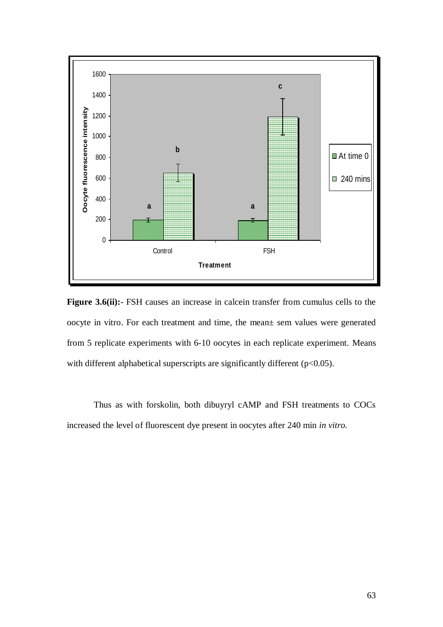

**Figure 3.6(ii):**- FSH causes an increase in calcein transfer from cumulus cells to the oocyte in vitro. For each treatment and time, the mean± sem values were generated from 5 replicate experiments with 6-10 oocytes in each replicate experiment. Means with different alphabetical superscripts are significantly different ( $p<0.05$ ).

Thus as with forskolin, both dibuyryl cAMP and FSH treatments to COCs increased the level of fluorescent dye present in oocytes after 240 min *in vitro.*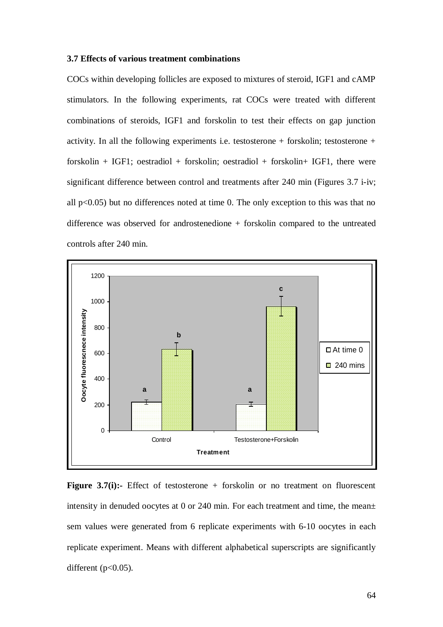#### **3.7 Effects of various treatment combinations**

COCs within developing follicles are exposed to mixtures of steroid, IGF1 and cAMP stimulators. In the following experiments, rat COCs were treated with different combinations of steroids, IGF1 and forskolin to test their effects on gap junction activity. In all the following experiments i.e. testosterone + forskolin; testosterone + forskolin + IGF1; oestradiol + forskolin; oestradiol + forskolin + IGF1, there were significant difference between control and treatments after 240 min (Figures 3.7 i-iv; all  $p<0.05$ ) but no differences noted at time 0. The only exception to this was that no difference was observed for androstenedione + forskolin compared to the untreated controls after 240 min.



**Figure 3.7(i):-** Effect of testosterone + forskolin or no treatment on fluorescent intensity in denuded oocytes at 0 or 240 min. For each treatment and time, the mean $\pm$ sem values were generated from 6 replicate experiments with 6-10 oocytes in each replicate experiment. Means with different alphabetical superscripts are significantly different  $(p<0.05)$ .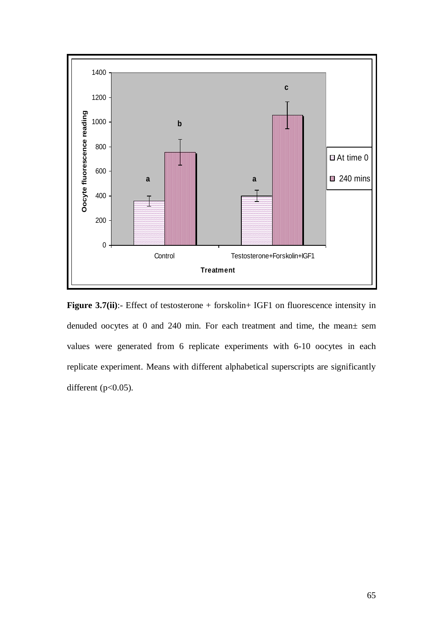

**Figure 3.7(ii)**:- Effect of testosterone + forskolin+ IGF1 on fluorescence intensity in denuded oocytes at 0 and 240 min. For each treatment and time, the mean± sem values were generated from 6 replicate experiments with 6-10 oocytes in each replicate experiment. Means with different alphabetical superscripts are significantly different  $(p<0.05)$ .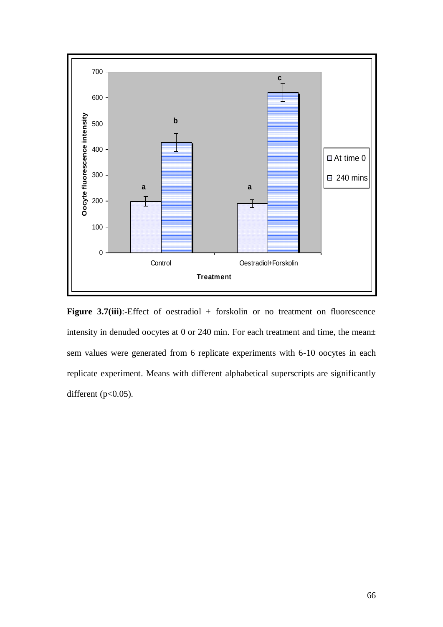

Figure 3.7(iii):-Effect of oestradiol + forskolin or no treatment on fluorescence intensity in denuded oocytes at 0 or 240 min. For each treatment and time, the mean± sem values were generated from 6 replicate experiments with 6-10 oocytes in each replicate experiment. Means with different alphabetical superscripts are significantly different  $(p<0.05)$ .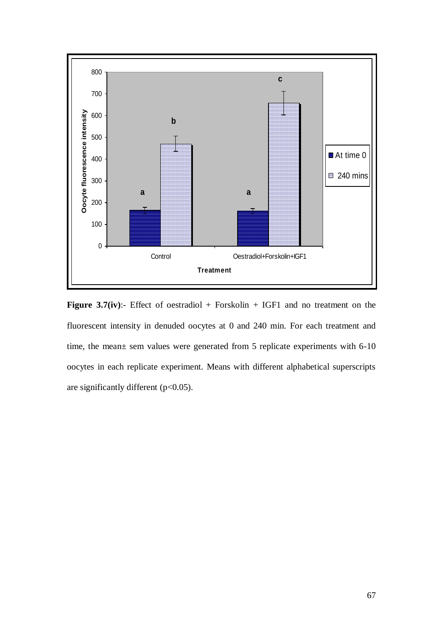

Figure 3.7(iv):- Effect of oestradiol + Forskolin + IGF1 and no treatment on the fluorescent intensity in denuded oocytes at 0 and 240 min. For each treatment and time, the mean± sem values were generated from 5 replicate experiments with 6-10 oocytes in each replicate experiment. Means with different alphabetical superscripts are significantly different  $(p<0.05)$ .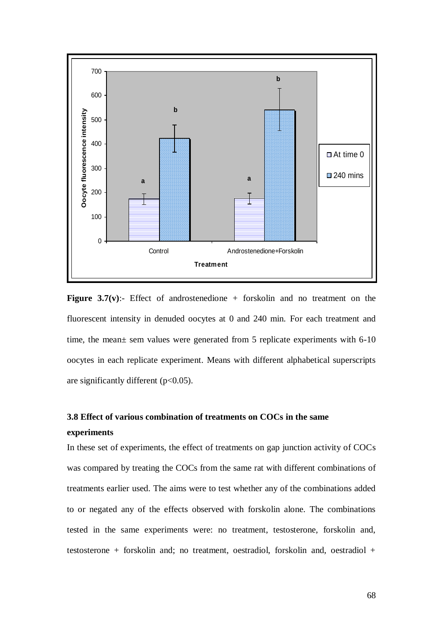

**Figure 3.7(v):**- Effect of androstenedione + forskolin and no treatment on the fluorescent intensity in denuded oocytes at 0 and 240 min. For each treatment and time, the mean± sem values were generated from 5 replicate experiments with 6-10 oocytes in each replicate experiment. Means with different alphabetical superscripts are significantly different  $(p<0.05)$ .

# **3.8 Effect of various combination of treatments on COCs in the same experiments**

In these set of experiments, the effect of treatments on gap junction activity of COCs was compared by treating the COCs from the same rat with different combinations of treatments earlier used. The aims were to test whether any of the combinations added to or negated any of the effects observed with forskolin alone. The combinations tested in the same experiments were: no treatment, testosterone, forskolin and, testosterone + forskolin and; no treatment, oestradiol, forskolin and, oestradiol +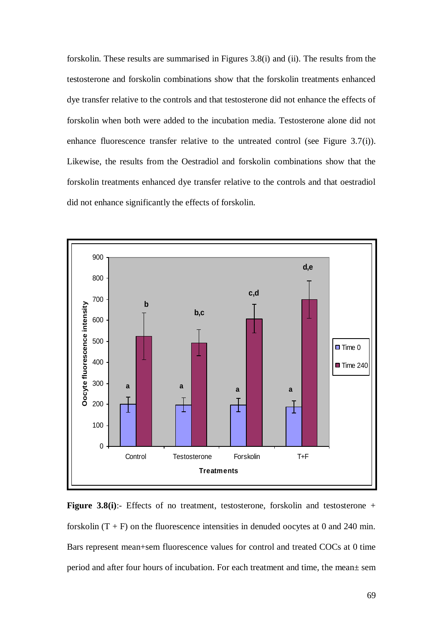forskolin. These results are summarised in Figures 3.8(i) and (ii). The results from the testosterone and forskolin combinations show that the forskolin treatments enhanced dye transfer relative to the controls and that testosterone did not enhance the effects of forskolin when both were added to the incubation media. Testosterone alone did not enhance fluorescence transfer relative to the untreated control (see Figure 3.7(i)). Likewise, the results from the Oestradiol and forskolin combinations show that the forskolin treatments enhanced dye transfer relative to the controls and that oestradiol did not enhance significantly the effects of forskolin.



**Figure 3.8(i):**- Effects of no treatment, testosterone, forskolin and testosterone + forskolin  $(T + F)$  on the fluorescence intensities in denuded oocytes at 0 and 240 min. Bars represent mean+sem fluorescence values for control and treated COCs at 0 time period and after four hours of incubation. For each treatment and time, the mean± sem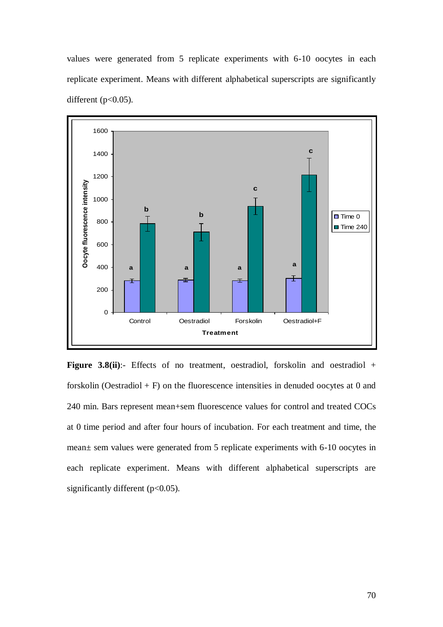values were generated from 5 replicate experiments with 6-10 oocytes in each replicate experiment. Means with different alphabetical superscripts are significantly different  $(p<0.05)$ .



**Figure 3.8(ii)**:- Effects of no treatment, oestradiol, forskolin and oestradiol + forskolin (Oestradiol + F) on the fluorescence intensities in denuded oocytes at 0 and 240 min. Bars represent mean+sem fluorescence values for control and treated COCs at 0 time period and after four hours of incubation. For each treatment and time, the mean± sem values were generated from 5 replicate experiments with 6-10 oocytes in each replicate experiment. Means with different alphabetical superscripts are significantly different (p<0.05).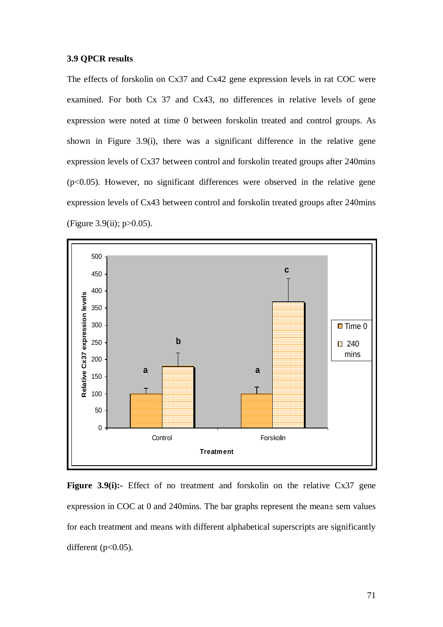#### **3.9 QPCR results**

The effects of forskolin on Cx37 and Cx42 gene expression levels in rat COC were examined. For both Cx 37 and Cx43, no differences in relative levels of gene expression were noted at time 0 between forskolin treated and control groups. As shown in Figure 3.9(i), there was a significant difference in the relative gene expression levels of Cx37 between control and forskolin treated groups after 240mins (p<0.05). However, no significant differences were observed in the relative gene expression levels of Cx43 between control and forskolin treated groups after 240mins (Figure 3.9(ii);  $p > 0.05$ ).



**Figure 3.9(i):-** Effect of no treatment and forskolin on the relative Cx37 gene expression in COC at 0 and 240mins. The bar graphs represent the mean± sem values for each treatment and means with different alphabetical superscripts are significantly different  $(p<0.05)$ .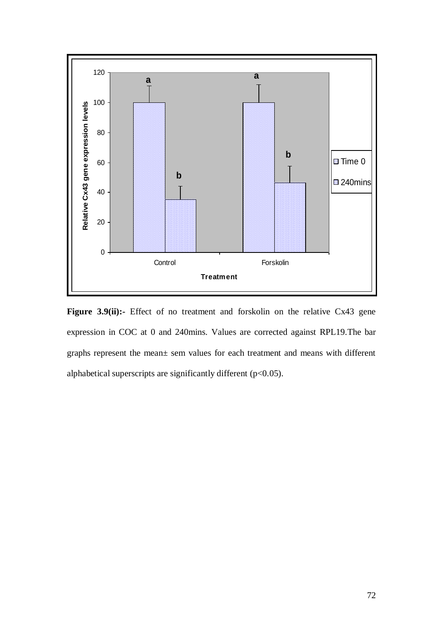

Figure 3.9(ii):- Effect of no treatment and forskolin on the relative Cx43 gene expression in COC at 0 and 240mins. Values are corrected against RPL19.The bar graphs represent the mean± sem values for each treatment and means with different alphabetical superscripts are significantly different ( $p<0.05$ ).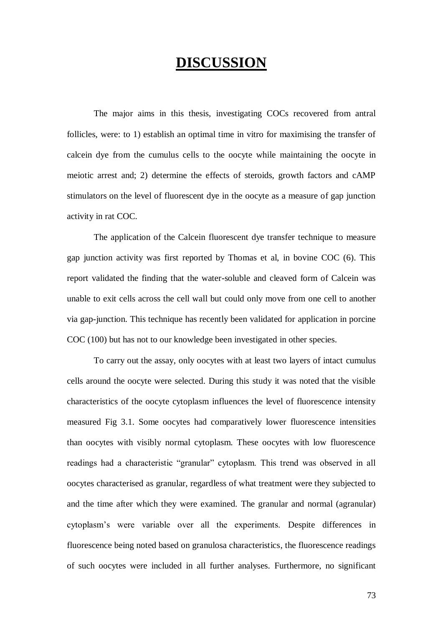# **DISCUSSION**

The major aims in this thesis, investigating COCs recovered from antral follicles, were: to 1) establish an optimal time in vitro for maximising the transfer of calcein dye from the cumulus cells to the oocyte while maintaining the oocyte in meiotic arrest and; 2) determine the effects of steroids, growth factors and cAMP stimulators on the level of fluorescent dye in the oocyte as a measure of gap junction activity in rat COC.

The application of the Calcein fluorescent dye transfer technique to measure gap junction activity was first reported by Thomas et al, in bovine COC (6). This report validated the finding that the water-soluble and cleaved form of Calcein was unable to exit cells across the cell wall but could only move from one cell to another via gap-junction. This technique has recently been validated for application in porcine COC (100) but has not to our knowledge been investigated in other species.

To carry out the assay, only oocytes with at least two layers of intact cumulus cells around the oocyte were selected. During this study it was noted that the visible characteristics of the oocyte cytoplasm influences the level of fluorescence intensity measured Fig 3.1. Some oocytes had comparatively lower fluorescence intensities than oocytes with visibly normal cytoplasm. These oocytes with low fluorescence readings had a characteristic "granular" cytoplasm. This trend was observed in all oocytes characterised as granular, regardless of what treatment were they subjected to and the time after which they were examined. The granular and normal (agranular) cytoplasm"s were variable over all the experiments. Despite differences in fluorescence being noted based on granulosa characteristics, the fluorescence readings of such oocytes were included in all further analyses. Furthermore, no significant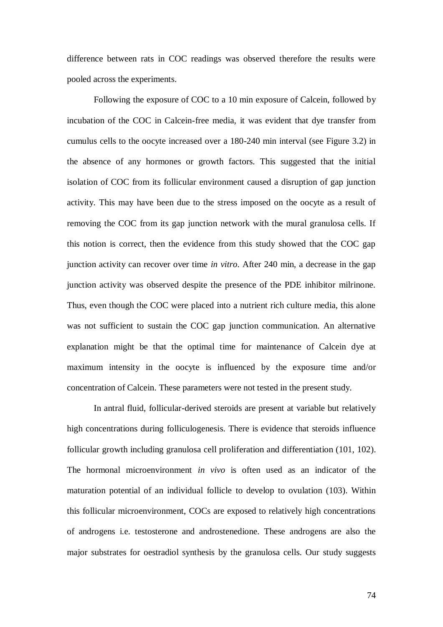difference between rats in COC readings was observed therefore the results were pooled across the experiments.

Following the exposure of COC to a 10 min exposure of Calcein, followed by incubation of the COC in Calcein-free media, it was evident that dye transfer from cumulus cells to the oocyte increased over a 180-240 min interval (see Figure 3.2) in the absence of any hormones or growth factors. This suggested that the initial isolation of COC from its follicular environment caused a disruption of gap junction activity. This may have been due to the stress imposed on the oocyte as a result of removing the COC from its gap junction network with the mural granulosa cells. If this notion is correct, then the evidence from this study showed that the COC gap junction activity can recover over time *in vitro*. After 240 min, a decrease in the gap junction activity was observed despite the presence of the PDE inhibitor milrinone. Thus, even though the COC were placed into a nutrient rich culture media, this alone was not sufficient to sustain the COC gap junction communication. An alternative explanation might be that the optimal time for maintenance of Calcein dye at maximum intensity in the oocyte is influenced by the exposure time and/or concentration of Calcein. These parameters were not tested in the present study.

In antral fluid, follicular-derived steroids are present at variable but relatively high concentrations during folliculogenesis. There is evidence that steroids influence follicular growth including granulosa cell proliferation and differentiation (101, 102). The hormonal microenvironment *in vivo* is often used as an indicator of the maturation potential of an individual follicle to develop to ovulation (103). Within this follicular microenvironment, COCs are exposed to relatively high concentrations of androgens i.e. testosterone and androstenedione. These androgens are also the major substrates for oestradiol synthesis by the granulosa cells. Our study suggests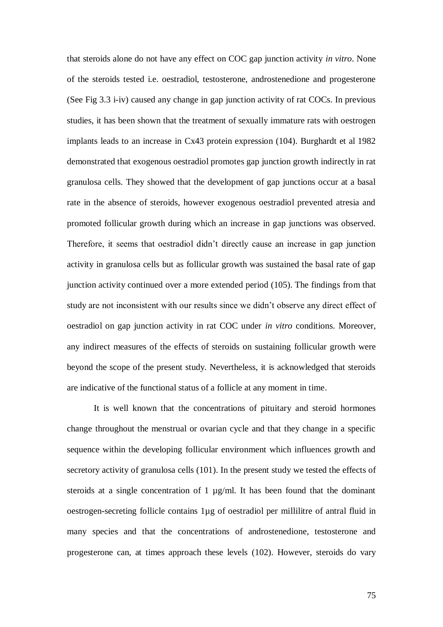that steroids alone do not have any effect on COC gap junction activity *in vitro*. None of the steroids tested i.e. oestradiol, testosterone, androstenedione and progesterone (See Fig 3.3 i-iv) caused any change in gap junction activity of rat COCs. In previous studies, it has been shown that the treatment of sexually immature rats with oestrogen implants leads to an increase in Cx43 protein expression (104). Burghardt et al 1982 demonstrated that exogenous oestradiol promotes gap junction growth indirectly in rat granulosa cells. They showed that the development of gap junctions occur at a basal rate in the absence of steroids, however exogenous oestradiol prevented atresia and promoted follicular growth during which an increase in gap junctions was observed. Therefore, it seems that oestradiol didn"t directly cause an increase in gap junction activity in granulosa cells but as follicular growth was sustained the basal rate of gap junction activity continued over a more extended period (105). The findings from that study are not inconsistent with our results since we didn"t observe any direct effect of oestradiol on gap junction activity in rat COC under *in vitro* conditions. Moreover, any indirect measures of the effects of steroids on sustaining follicular growth were beyond the scope of the present study. Nevertheless, it is acknowledged that steroids are indicative of the functional status of a follicle at any moment in time.

It is well known that the concentrations of pituitary and steroid hormones change throughout the menstrual or ovarian cycle and that they change in a specific sequence within the developing follicular environment which influences growth and secretory activity of granulosa cells (101). In the present study we tested the effects of steroids at a single concentration of 1 µg/ml. It has been found that the dominant oestrogen-secreting follicle contains 1µg of oestradiol per millilitre of antral fluid in many species and that the concentrations of androstenedione, testosterone and progesterone can, at times approach these levels (102). However, steroids do vary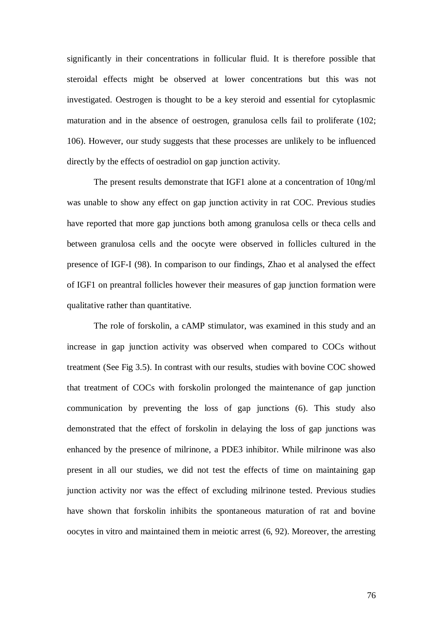significantly in their concentrations in follicular fluid. It is therefore possible that steroidal effects might be observed at lower concentrations but this was not investigated. Oestrogen is thought to be a key steroid and essential for cytoplasmic maturation and in the absence of oestrogen, granulosa cells fail to proliferate (102; 106). However, our study suggests that these processes are unlikely to be influenced directly by the effects of oestradiol on gap junction activity.

The present results demonstrate that IGF1 alone at a concentration of 10ng/ml was unable to show any effect on gap junction activity in rat COC. Previous studies have reported that more gap junctions both among granulosa cells or theca cells and between granulosa cells and the oocyte were observed in follicles cultured in the presence of IGF-I (98). In comparison to our findings, Zhao et al analysed the effect of IGF1 on preantral follicles however their measures of gap junction formation were qualitative rather than quantitative.

The role of forskolin, a cAMP stimulator, was examined in this study and an increase in gap junction activity was observed when compared to COCs without treatment (See Fig 3.5). In contrast with our results, studies with bovine COC showed that treatment of COCs with forskolin prolonged the maintenance of gap junction communication by preventing the loss of gap junctions (6). This study also demonstrated that the effect of forskolin in delaying the loss of gap junctions was enhanced by the presence of milrinone, a PDE3 inhibitor. While milrinone was also present in all our studies, we did not test the effects of time on maintaining gap junction activity nor was the effect of excluding milrinone tested. Previous studies have shown that forskolin inhibits the spontaneous maturation of rat and bovine oocytes in vitro and maintained them in meiotic arrest (6, 92). Moreover, the arresting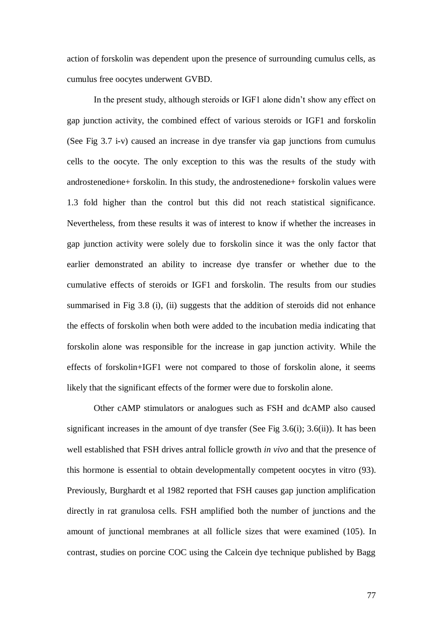action of forskolin was dependent upon the presence of surrounding cumulus cells, as cumulus free oocytes underwent GVBD.

In the present study, although steroids or IGF1 alone didn"t show any effect on gap junction activity, the combined effect of various steroids or IGF1 and forskolin (See Fig 3.7 i-v) caused an increase in dye transfer via gap junctions from cumulus cells to the oocyte. The only exception to this was the results of the study with androstenedione+ forskolin. In this study, the androstenedione+ forskolin values were 1.3 fold higher than the control but this did not reach statistical significance. Nevertheless, from these results it was of interest to know if whether the increases in gap junction activity were solely due to forskolin since it was the only factor that earlier demonstrated an ability to increase dye transfer or whether due to the cumulative effects of steroids or IGF1 and forskolin. The results from our studies summarised in Fig 3.8 (i), (ii) suggests that the addition of steroids did not enhance the effects of forskolin when both were added to the incubation media indicating that forskolin alone was responsible for the increase in gap junction activity. While the effects of forskolin+IGF1 were not compared to those of forskolin alone, it seems likely that the significant effects of the former were due to forskolin alone.

Other cAMP stimulators or analogues such as FSH and dcAMP also caused significant increases in the amount of dye transfer (See Fig  $3.6(i)$ ;  $3.6(ii)$ ). It has been well established that FSH drives antral follicle growth *in vivo* and that the presence of this hormone is essential to obtain developmentally competent oocytes in vitro (93). Previously, Burghardt et al 1982 reported that FSH causes gap junction amplification directly in rat granulosa cells. FSH amplified both the number of junctions and the amount of junctional membranes at all follicle sizes that were examined (105). In contrast, studies on porcine COC using the Calcein dye technique published by Bagg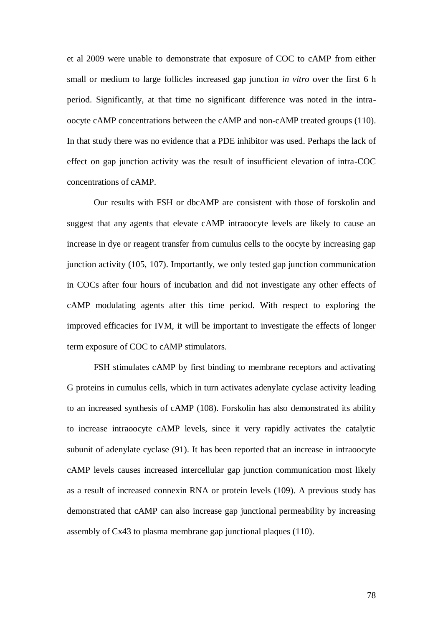et al 2009 were unable to demonstrate that exposure of COC to cAMP from either small or medium to large follicles increased gap junction *in vitro* over the first 6 h period. Significantly, at that time no significant difference was noted in the intraoocyte cAMP concentrations between the cAMP and non-cAMP treated groups (110). In that study there was no evidence that a PDE inhibitor was used. Perhaps the lack of effect on gap junction activity was the result of insufficient elevation of intra-COC concentrations of cAMP.

Our results with FSH or dbcAMP are consistent with those of forskolin and suggest that any agents that elevate cAMP intraoocyte levels are likely to cause an increase in dye or reagent transfer from cumulus cells to the oocyte by increasing gap junction activity (105, 107). Importantly, we only tested gap junction communication in COCs after four hours of incubation and did not investigate any other effects of cAMP modulating agents after this time period. With respect to exploring the improved efficacies for IVM, it will be important to investigate the effects of longer term exposure of COC to cAMP stimulators.

FSH stimulates cAMP by first binding to membrane receptors and activating G proteins in cumulus cells, which in turn activates adenylate cyclase activity leading to an increased synthesis of cAMP (108). Forskolin has also demonstrated its ability to increase intraoocyte cAMP levels, since it very rapidly activates the catalytic subunit of adenylate cyclase (91). It has been reported that an increase in intraoocyte cAMP levels causes increased intercellular gap junction communication most likely as a result of increased connexin RNA or protein levels (109). A previous study has demonstrated that cAMP can also increase gap junctional permeability by increasing assembly of Cx43 to plasma membrane gap junctional plaques (110).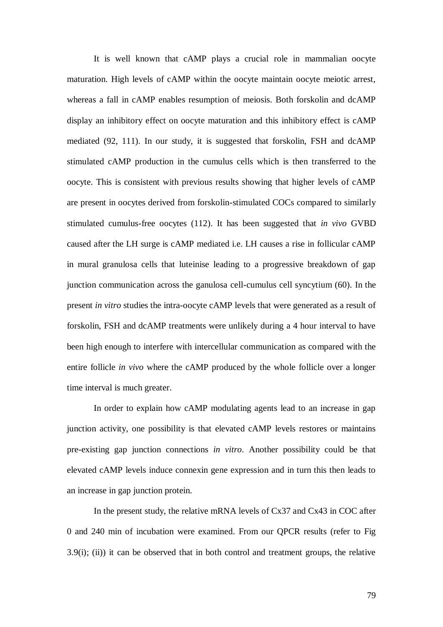It is well known that cAMP plays a crucial role in mammalian oocyte maturation. High levels of cAMP within the oocyte maintain oocyte meiotic arrest, whereas a fall in cAMP enables resumption of meiosis. Both forskolin and dcAMP display an inhibitory effect on oocyte maturation and this inhibitory effect is cAMP mediated (92, 111). In our study, it is suggested that forskolin, FSH and dcAMP stimulated cAMP production in the cumulus cells which is then transferred to the oocyte. This is consistent with previous results showing that higher levels of cAMP are present in oocytes derived from forskolin-stimulated COCs compared to similarly stimulated cumulus-free oocytes (112). It has been suggested that *in vivo* GVBD caused after the LH surge is cAMP mediated i.e. LH causes a rise in follicular cAMP in mural granulosa cells that luteinise leading to a progressive breakdown of gap junction communication across the ganulosa cell-cumulus cell syncytium (60). In the present *in vitro* studies the intra-oocyte cAMP levels that were generated as a result of forskolin, FSH and dcAMP treatments were unlikely during a 4 hour interval to have been high enough to interfere with intercellular communication as compared with the entire follicle *in vivo* where the cAMP produced by the whole follicle over a longer time interval is much greater.

In order to explain how cAMP modulating agents lead to an increase in gap junction activity, one possibility is that elevated cAMP levels restores or maintains pre-existing gap junction connections *in vitro*. Another possibility could be that elevated cAMP levels induce connexin gene expression and in turn this then leads to an increase in gap junction protein.

In the present study, the relative mRNA levels of Cx37 and Cx43 in COC after 0 and 240 min of incubation were examined. From our QPCR results (refer to Fig 3.9(i); (ii)) it can be observed that in both control and treatment groups, the relative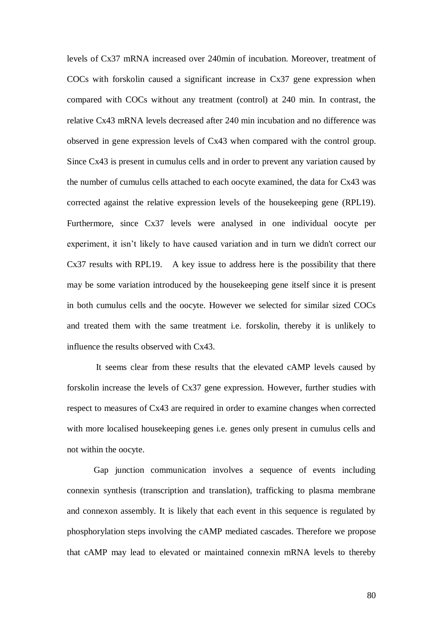levels of Cx37 mRNA increased over 240min of incubation. Moreover, treatment of COCs with forskolin caused a significant increase in Cx37 gene expression when compared with COCs without any treatment (control) at 240 min. In contrast, the relative Cx43 mRNA levels decreased after 240 min incubation and no difference was observed in gene expression levels of Cx43 when compared with the control group. Since Cx43 is present in cumulus cells and in order to prevent any variation caused by the number of cumulus cells attached to each oocyte examined, the data for Cx43 was corrected against the relative expression levels of the housekeeping gene (RPL19). Furthermore, since Cx37 levels were analysed in one individual oocyte per experiment, it isn't likely to have caused variation and in turn we didn't correct our Cx37 results with RPL19. A key issue to address here is the possibility that there may be some variation introduced by the housekeeping gene itself since it is present in both cumulus cells and the oocyte. However we selected for similar sized COCs and treated them with the same treatment i.e. forskolin, thereby it is unlikely to influence the results observed with Cx43.

It seems clear from these results that the elevated cAMP levels caused by forskolin increase the levels of Cx37 gene expression. However, further studies with respect to measures of Cx43 are required in order to examine changes when corrected with more localised housekeeping genes i.e. genes only present in cumulus cells and not within the oocyte.

Gap junction communication involves a sequence of events including connexin synthesis (transcription and translation), trafficking to plasma membrane and connexon assembly. It is likely that each event in this sequence is regulated by phosphorylation steps involving the cAMP mediated cascades. Therefore we propose that cAMP may lead to elevated or maintained connexin mRNA levels to thereby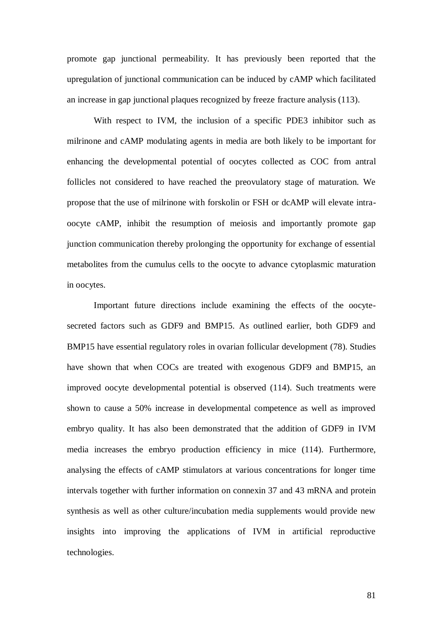promote gap junctional permeability. It has previously been reported that the upregulation of junctional communication can be induced by cAMP which facilitated an increase in gap junctional plaques recognized by freeze fracture analysis (113).

With respect to IVM, the inclusion of a specific PDE3 inhibitor such as milrinone and cAMP modulating agents in media are both likely to be important for enhancing the developmental potential of oocytes collected as COC from antral follicles not considered to have reached the preovulatory stage of maturation. We propose that the use of milrinone with forskolin or FSH or dcAMP will elevate intraoocyte cAMP, inhibit the resumption of meiosis and importantly promote gap junction communication thereby prolonging the opportunity for exchange of essential metabolites from the cumulus cells to the oocyte to advance cytoplasmic maturation in oocytes.

Important future directions include examining the effects of the oocytesecreted factors such as GDF9 and BMP15. As outlined earlier, both GDF9 and BMP15 have essential regulatory roles in ovarian follicular development (78). Studies have shown that when COCs are treated with exogenous GDF9 and BMP15, an improved oocyte developmental potential is observed (114). Such treatments were shown to cause a 50% increase in developmental competence as well as improved embryo quality. It has also been demonstrated that the addition of GDF9 in IVM media increases the embryo production efficiency in mice (114). Furthermore, analysing the effects of cAMP stimulators at various concentrations for longer time intervals together with further information on connexin 37 and 43 mRNA and protein synthesis as well as other culture/incubation media supplements would provide new insights into improving the applications of IVM in artificial reproductive technologies.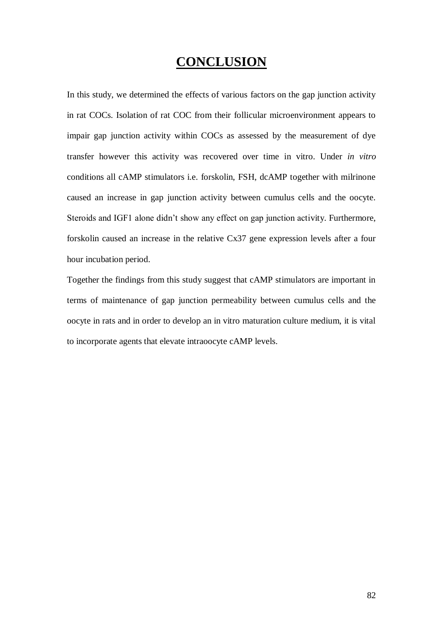## **CONCLUSION**

In this study, we determined the effects of various factors on the gap junction activity in rat COCs. Isolation of rat COC from their follicular microenvironment appears to impair gap junction activity within COCs as assessed by the measurement of dye transfer however this activity was recovered over time in vitro. Under *in vitro* conditions all cAMP stimulators i.e. forskolin, FSH, dcAMP together with milrinone caused an increase in gap junction activity between cumulus cells and the oocyte. Steroids and IGF1 alone didn"t show any effect on gap junction activity. Furthermore, forskolin caused an increase in the relative Cx37 gene expression levels after a four hour incubation period.

Together the findings from this study suggest that cAMP stimulators are important in terms of maintenance of gap junction permeability between cumulus cells and the oocyte in rats and in order to develop an in vitro maturation culture medium, it is vital to incorporate agents that elevate intraoocyte cAMP levels.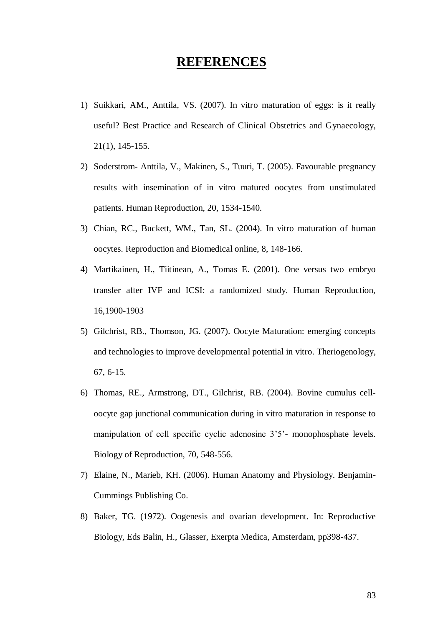#### **REFERENCES**

- 1) Suikkari, AM., Anttila, VS. (2007). In vitro maturation of eggs: is it really useful? Best Practice and Research of Clinical Obstetrics and Gynaecology, 21(1), 145-155.
- 2) Soderstrom- Anttila, V., Makinen, S., Tuuri, T. (2005). Favourable pregnancy results with insemination of in vitro matured oocytes from unstimulated patients. Human Reproduction, 20, 1534-1540.
- 3) Chian, RC., Buckett, WM., Tan, SL. (2004). In vitro maturation of human oocytes. Reproduction and Biomedical online, 8, 148-166.
- 4) Martikainen, H., Tiitinean, A., Tomas E. (2001). One versus two embryo transfer after IVF and ICSI: a randomized study. Human Reproduction, 16,1900-1903
- 5) Gilchrist, RB., Thomson, JG. (2007). Oocyte Maturation: emerging concepts and technologies to improve developmental potential in vitro. Theriogenology, 67, 6-15.
- 6) Thomas, RE., Armstrong, DT., Gilchrist, RB. (2004). Bovine cumulus celloocyte gap junctional communication during in vitro maturation in response to manipulation of cell specific cyclic adenosine 3'5'- monophosphate levels. Biology of Reproduction, 70, 548-556.
- 7) Elaine, N., Marieb, KH. (2006). Human Anatomy and Physiology. Benjamin-Cummings Publishing Co.
- 8) Baker, TG. (1972). Oogenesis and ovarian development. In: Reproductive Biology, Eds Balin, H., Glasser, Exerpta Medica, Amsterdam, pp398-437.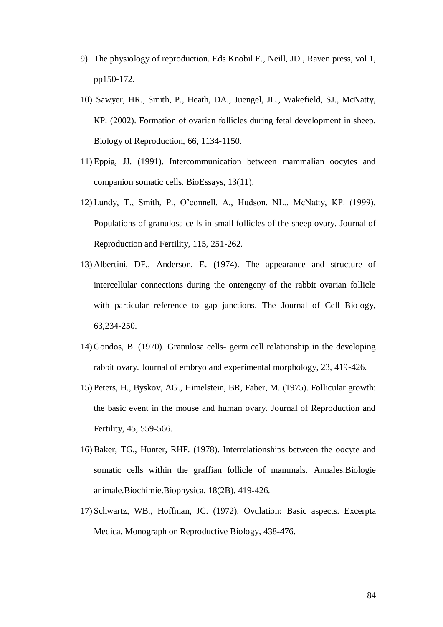- 9) The physiology of reproduction. Eds Knobil E., Neill, JD., Raven press, vol 1, pp150-172.
- 10) Sawyer, HR., Smith, P., Heath, DA., Juengel, JL., Wakefield, SJ., McNatty, KP. (2002). Formation of ovarian follicles during fetal development in sheep. Biology of Reproduction, 66, 1134-1150.
- 11) Eppig, JJ. (1991). Intercommunication between mammalian oocytes and companion somatic cells. BioEssays, 13(11).
- 12) Lundy, T., Smith, P., O"connell, A., Hudson, NL., McNatty, KP. (1999). Populations of granulosa cells in small follicles of the sheep ovary. Journal of Reproduction and Fertility, 115, 251-262.
- 13) Albertini, DF., Anderson, E. (1974). The appearance and structure of intercellular connections during the ontengeny of the rabbit ovarian follicle with particular reference to gap junctions. The Journal of Cell Biology, 63,234-250.
- 14) Gondos, B. (1970). Granulosa cells- germ cell relationship in the developing rabbit ovary. Journal of embryo and experimental morphology, 23, 419-426.
- 15) Peters, H., Byskov, AG., Himelstein, BR, Faber, M. (1975). Follicular growth: the basic event in the mouse and human ovary. Journal of Reproduction and Fertility, 45, 559-566.
- 16) Baker, TG., Hunter, RHF. (1978). Interrelationships between the oocyte and somatic cells within the graffian follicle of mammals. Annales.Biologie animale.Biochimie.Biophysica, 18(2B), 419-426.
- 17) Schwartz, WB., Hoffman, JC. (1972). Ovulation: Basic aspects. Excerpta Medica, Monograph on Reproductive Biology, 438-476.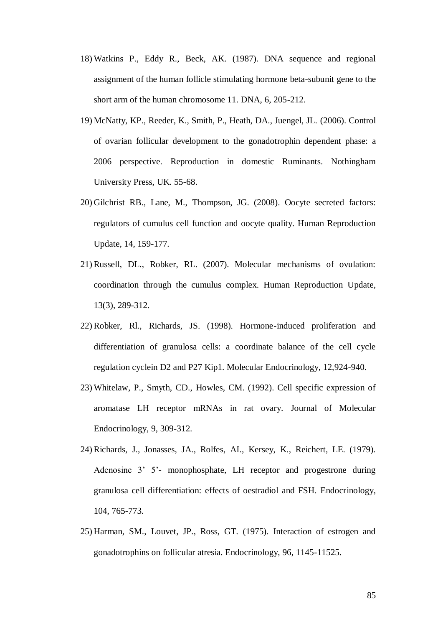- 18) Watkins P., Eddy R., Beck, AK. (1987). DNA sequence and regional assignment of the human follicle stimulating hormone beta-subunit gene to the short arm of the human chromosome 11. DNA, 6, 205-212.
- 19) McNatty, KP., Reeder, K., Smith, P., Heath, DA., Juengel, JL. (2006). Control of ovarian follicular development to the gonadotrophin dependent phase: a 2006 perspective. Reproduction in domestic Ruminants. Nothingham University Press, UK. 55-68.
- 20) Gilchrist RB., Lane, M., Thompson, JG. (2008). Oocyte secreted factors: regulators of cumulus cell function and oocyte quality. Human Reproduction Update, 14, 159-177.
- 21) Russell, DL., Robker, RL. (2007). Molecular mechanisms of ovulation: coordination through the cumulus complex. Human Reproduction Update, 13(3), 289-312.
- 22) Robker, Rl., Richards, JS. (1998). Hormone-induced proliferation and differentiation of granulosa cells: a coordinate balance of the cell cycle regulation cyclein D2 and P27 Kip1. Molecular Endocrinology, 12,924-940.
- 23) Whitelaw, P., Smyth, CD., Howles, CM. (1992). Cell specific expression of aromatase LH receptor mRNAs in rat ovary. Journal of Molecular Endocrinology, 9, 309-312.
- 24) Richards, J., Jonasses, JA., Rolfes, AI., Kersey, K., Reichert, LE. (1979). Adenosine 3' 5'- monophosphate, LH receptor and progestrone during granulosa cell differentiation: effects of oestradiol and FSH. Endocrinology, 104, 765-773.
- 25) Harman, SM., Louvet, JP., Ross, GT. (1975). Interaction of estrogen and gonadotrophins on follicular atresia. Endocrinology, 96, 1145-11525.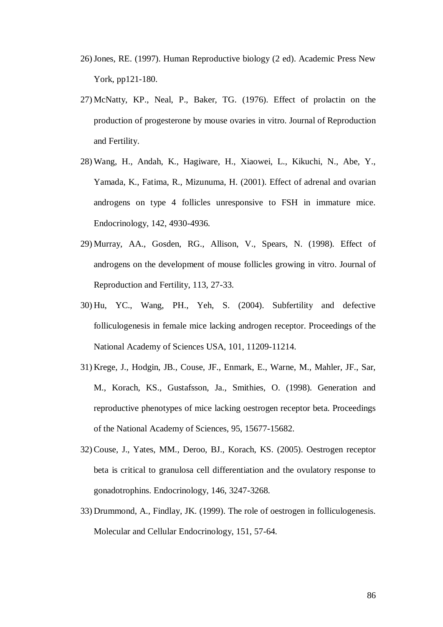- 26)Jones, RE. (1997). Human Reproductive biology (2 ed). Academic Press New York, pp121-180.
- 27) McNatty, KP., Neal, P., Baker, TG. (1976). Effect of prolactin on the production of progesterone by mouse ovaries in vitro. Journal of Reproduction and Fertility.
- 28) Wang, H., Andah, K., Hagiware, H., Xiaowei, L., Kikuchi, N., Abe, Y., Yamada, K., Fatima, R., Mizunuma, H. (2001). Effect of adrenal and ovarian androgens on type 4 follicles unresponsive to FSH in immature mice. Endocrinology, 142, 4930-4936.
- 29) Murray, AA., Gosden, RG., Allison, V., Spears, N. (1998). Effect of androgens on the development of mouse follicles growing in vitro. Journal of Reproduction and Fertility, 113, 27-33.
- 30) Hu, YC., Wang, PH., Yeh, S. (2004). Subfertility and defective folliculogenesis in female mice lacking androgen receptor. Proceedings of the National Academy of Sciences USA, 101, 11209-11214.
- 31) Krege, J., Hodgin, JB., Couse, JF., Enmark, E., Warne, M., Mahler, JF., Sar, M., Korach, KS., Gustafsson, Ja., Smithies, O. (1998). Generation and reproductive phenotypes of mice lacking oestrogen receptor beta. Proceedings of the National Academy of Sciences, 95, 15677-15682.
- 32) Couse, J., Yates, MM., Deroo, BJ., Korach, KS. (2005). Oestrogen receptor beta is critical to granulosa cell differentiation and the ovulatory response to gonadotrophins. Endocrinology, 146, 3247-3268.
- 33) Drummond, A., Findlay, JK. (1999). The role of oestrogen in folliculogenesis. Molecular and Cellular Endocrinology, 151, 57-64.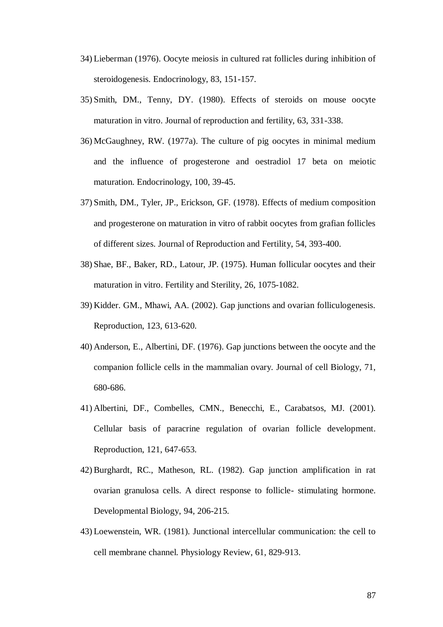- 34) Lieberman (1976). Oocyte meiosis in cultured rat follicles during inhibition of steroidogenesis. Endocrinology, 83, 151-157.
- 35) Smith, DM., Tenny, DY. (1980). Effects of steroids on mouse oocyte maturation in vitro. Journal of reproduction and fertility, 63, 331-338.
- 36) McGaughney, RW. (1977a). The culture of pig oocytes in minimal medium and the influence of progesterone and oestradiol 17 beta on meiotic maturation. Endocrinology, 100, 39-45.
- 37) Smith, DM., Tyler, JP., Erickson, GF. (1978). Effects of medium composition and progesterone on maturation in vitro of rabbit oocytes from grafian follicles of different sizes. Journal of Reproduction and Fertility, 54, 393-400.
- 38) Shae, BF., Baker, RD., Latour, JP. (1975). Human follicular oocytes and their maturation in vitro. Fertility and Sterility, 26, 1075-1082.
- 39) Kidder. GM., Mhawi, AA. (2002). Gap junctions and ovarian folliculogenesis. Reproduction, 123, 613-620.
- 40) Anderson, E., Albertini, DF. (1976). Gap junctions between the oocyte and the companion follicle cells in the mammalian ovary. Journal of cell Biology, 71, 680-686.
- 41) Albertini, DF., Combelles, CMN., Benecchi, E., Carabatsos, MJ. (2001). Cellular basis of paracrine regulation of ovarian follicle development. Reproduction, 121, 647-653.
- 42) Burghardt, RC., Matheson, RL. (1982). Gap junction amplification in rat ovarian granulosa cells. A direct response to follicle- stimulating hormone. Developmental Biology, 94, 206-215.
- 43) Loewenstein, WR. (1981). Junctional intercellular communication: the cell to cell membrane channel. Physiology Review, 61, 829-913.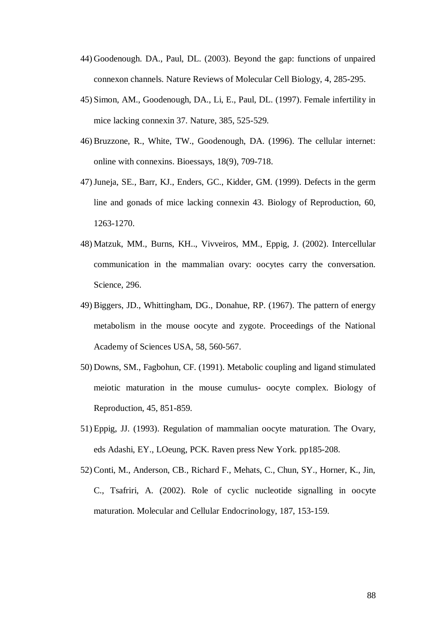- 44) Goodenough. DA., Paul, DL. (2003). Beyond the gap: functions of unpaired connexon channels. Nature Reviews of Molecular Cell Biology, 4, 285-295.
- 45) Simon, AM., Goodenough, DA., Li, E., Paul, DL. (1997). Female infertility in mice lacking connexin 37. Nature, 385, 525-529.
- 46) Bruzzone, R., White, TW., Goodenough, DA. (1996). The cellular internet: online with connexins. Bioessays, 18(9), 709-718.
- 47)Juneja, SE., Barr, KJ., Enders, GC., Kidder, GM. (1999). Defects in the germ line and gonads of mice lacking connexin 43. Biology of Reproduction, 60, 1263-1270.
- 48) Matzuk, MM., Burns, KH.., Vivveiros, MM., Eppig, J. (2002). Intercellular communication in the mammalian ovary: oocytes carry the conversation. Science, 296.
- 49) Biggers, JD., Whittingham, DG., Donahue, RP. (1967). The pattern of energy metabolism in the mouse oocyte and zygote. Proceedings of the National Academy of Sciences USA, 58, 560-567.
- 50) Downs, SM., Fagbohun, CF. (1991). Metabolic coupling and ligand stimulated meiotic maturation in the mouse cumulus- oocyte complex. Biology of Reproduction, 45, 851-859.
- 51) Eppig, JJ. (1993). Regulation of mammalian oocyte maturation. The Ovary, eds Adashi, EY., LOeung, PCK. Raven press New York. pp185-208.
- 52) Conti, M., Anderson, CB., Richard F., Mehats, C., Chun, SY., Horner, K., Jin, C., Tsafriri, A. (2002). Role of cyclic nucleotide signalling in oocyte maturation. Molecular and Cellular Endocrinology, 187, 153-159.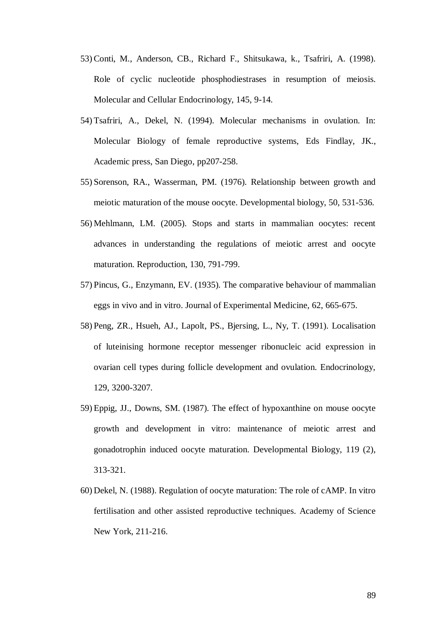- 53) Conti, M., Anderson, CB., Richard F., Shitsukawa, k., Tsafriri, A. (1998). Role of cyclic nucleotide phosphodiestrases in resumption of meiosis. Molecular and Cellular Endocrinology, 145, 9-14.
- 54) Tsafriri, A., Dekel, N. (1994). Molecular mechanisms in ovulation. In: Molecular Biology of female reproductive systems, Eds Findlay, JK., Academic press, San Diego, pp207-258.
- 55) Sorenson, RA., Wasserman, PM. (1976). Relationship between growth and meiotic maturation of the mouse oocyte. Developmental biology, 50, 531-536.
- 56) Mehlmann, LM. (2005). Stops and starts in mammalian oocytes: recent advances in understanding the regulations of meiotic arrest and oocyte maturation. Reproduction, 130, 791-799.
- 57) Pincus, G., Enzymann, EV. (1935). The comparative behaviour of mammalian eggs in vivo and in vitro. Journal of Experimental Medicine, 62, 665-675.
- 58) Peng, ZR., Hsueh, AJ., Lapolt, PS., Bjersing, L., Ny, T. (1991). Localisation of luteinising hormone receptor messenger ribonucleic acid expression in ovarian cell types during follicle development and ovulation. Endocrinology, 129, 3200-3207.
- 59) Eppig, JJ., Downs, SM. (1987). The effect of hypoxanthine on mouse oocyte growth and development in vitro: maintenance of meiotic arrest and gonadotrophin induced oocyte maturation. Developmental Biology, 119 (2), 313-321.
- 60) Dekel, N. (1988). Regulation of oocyte maturation: The role of cAMP. In vitro fertilisation and other assisted reproductive techniques. Academy of Science New York, 211-216.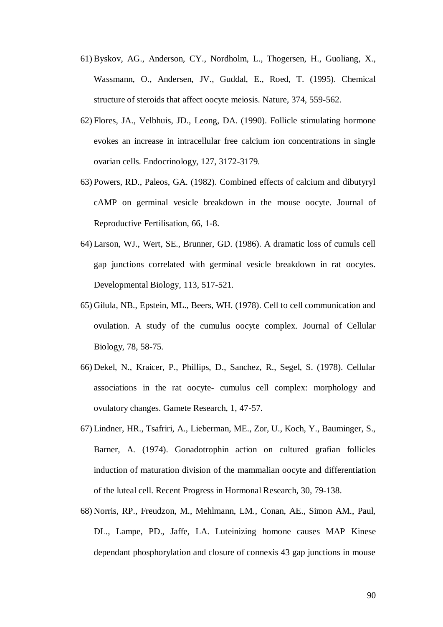- 61) Byskov, AG., Anderson, CY., Nordholm, L., Thogersen, H., Guoliang, X., Wassmann, O., Andersen, JV., Guddal, E., Roed, T. (1995). Chemical structure of steroids that affect oocyte meiosis. Nature, 374, 559-562.
- 62) Flores, JA., Velbhuis, JD., Leong, DA. (1990). Follicle stimulating hormone evokes an increase in intracellular free calcium ion concentrations in single ovarian cells. Endocrinology, 127, 3172-3179.
- 63) Powers, RD., Paleos, GA. (1982). Combined effects of calcium and dibutyryl cAMP on germinal vesicle breakdown in the mouse oocyte. Journal of Reproductive Fertilisation, 66, 1-8.
- 64) Larson, WJ., Wert, SE., Brunner, GD. (1986). A dramatic loss of cumuls cell gap junctions correlated with germinal vesicle breakdown in rat oocytes. Developmental Biology, 113, 517-521.
- 65) Gilula, NB., Epstein, ML., Beers, WH. (1978). Cell to cell communication and ovulation. A study of the cumulus oocyte complex. Journal of Cellular Biology, 78, 58-75.
- 66) Dekel, N., Kraicer, P., Phillips, D., Sanchez, R., Segel, S. (1978). Cellular associations in the rat oocyte- cumulus cell complex: morphology and ovulatory changes. Gamete Research, 1, 47-57.
- 67) Lindner, HR., Tsafriri, A., Lieberman, ME., Zor, U., Koch, Y., Bauminger, S., Barner, A. (1974). Gonadotrophin action on cultured grafian follicles induction of maturation division of the mammalian oocyte and differentiation of the luteal cell. Recent Progress in Hormonal Research, 30, 79-138.
- 68) Norris, RP., Freudzon, M., Mehlmann, LM., Conan, AE., Simon AM., Paul, DL., Lampe, PD., Jaffe, LA. Luteinizing homone causes MAP Kinese dependant phosphorylation and closure of connexis 43 gap junctions in mouse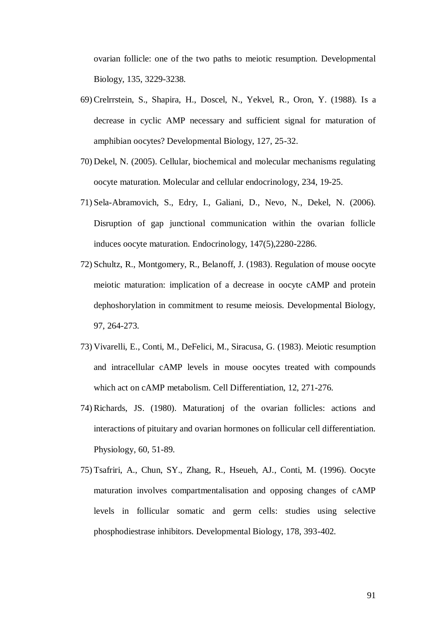ovarian follicle: one of the two paths to meiotic resumption. Developmental Biology, 135, 3229-3238.

- 69) Crelrrstein, S., Shapira, H., Doscel, N., Yekvel, R., Oron, Y. (1988). Is a decrease in cyclic AMP necessary and sufficient signal for maturation of amphibian oocytes? Developmental Biology, 127, 25-32.
- 70) Dekel, N. (2005). Cellular, biochemical and molecular mechanisms regulating oocyte maturation. Molecular and cellular endocrinology, 234, 19-25.
- 71) Sela-Abramovich, S., Edry, I., Galiani, D., Nevo, N., Dekel, N. (2006). Disruption of gap junctional communication within the ovarian follicle induces oocyte maturation. Endocrinology, 147(5),2280-2286.
- 72) Schultz, R., Montgomery, R., Belanoff, J. (1983). Regulation of mouse oocyte meiotic maturation: implication of a decrease in oocyte cAMP and protein dephoshorylation in commitment to resume meiosis. Developmental Biology, 97, 264-273.
- 73) Vivarelli, E., Conti, M., DeFelici, M., Siracusa, G. (1983). Meiotic resumption and intracellular cAMP levels in mouse oocytes treated with compounds which act on cAMP metabolism. Cell Differentiation, 12, 271-276.
- 74) Richards, JS. (1980). Maturationj of the ovarian follicles: actions and interactions of pituitary and ovarian hormones on follicular cell differentiation. Physiology, 60, 51-89.
- 75) Tsafriri, A., Chun, SY., Zhang, R., Hseueh, AJ., Conti, M. (1996). Oocyte maturation involves compartmentalisation and opposing changes of cAMP levels in follicular somatic and germ cells: studies using selective phosphodiestrase inhibitors. Developmental Biology, 178, 393-402.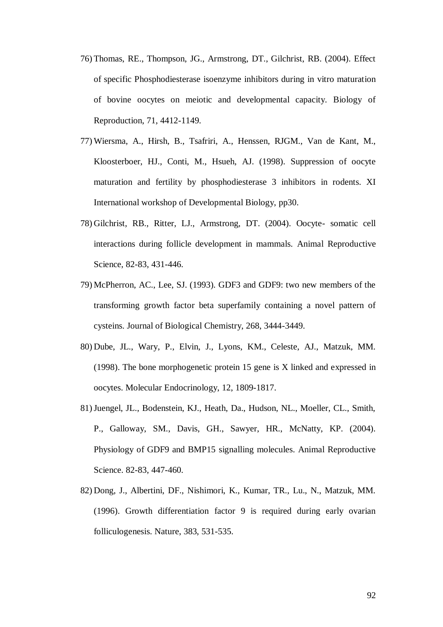- 76) Thomas, RE., Thompson, JG., Armstrong, DT., Gilchrist, RB. (2004). Effect of specific Phosphodiesterase isoenzyme inhibitors during in vitro maturation of bovine oocytes on meiotic and developmental capacity. Biology of Reproduction, 71, 4412-1149.
- 77) Wiersma, A., Hirsh, B., Tsafriri, A., Henssen, RJGM., Van de Kant, M., Kloosterboer, HJ., Conti, M., Hsueh, AJ. (1998). Suppression of oocyte maturation and fertility by phosphodiesterase 3 inhibitors in rodents. XI International workshop of Developmental Biology, pp30.
- 78) Gilchrist, RB., Ritter, LJ., Armstrong, DT. (2004). Oocyte- somatic cell interactions during follicle development in mammals. Animal Reproductive Science, 82-83, 431-446.
- 79) McPherron, AC., Lee, SJ. (1993). GDF3 and GDF9: two new members of the transforming growth factor beta superfamily containing a novel pattern of cysteins. Journal of Biological Chemistry, 268, 3444-3449.
- 80) Dube, JL., Wary, P., Elvin, J., Lyons, KM., Celeste, AJ., Matzuk, MM. (1998). The bone morphogenetic protein 15 gene is X linked and expressed in oocytes. Molecular Endocrinology, 12, 1809-1817.
- 81)Juengel, JL., Bodenstein, KJ., Heath, Da., Hudson, NL., Moeller, CL., Smith, P., Galloway, SM., Davis, GH., Sawyer, HR., McNatty, KP. (2004). Physiology of GDF9 and BMP15 signalling molecules. Animal Reproductive Science. 82-83, 447-460.
- 82) Dong, J., Albertini, DF., Nishimori, K., Kumar, TR., Lu., N., Matzuk, MM. (1996). Growth differentiation factor 9 is required during early ovarian folliculogenesis. Nature, 383, 531-535.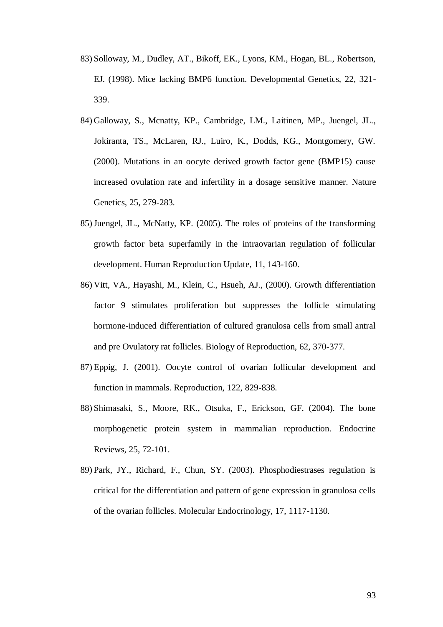- 83) Solloway, M., Dudley, AT., Bikoff, EK., Lyons, KM., Hogan, BL., Robertson, EJ. (1998). Mice lacking BMP6 function. Developmental Genetics, 22, 321- 339.
- 84) Galloway, S., Mcnatty, KP., Cambridge, LM., Laitinen, MP., Juengel, JL., Jokiranta, TS., McLaren, RJ., Luiro, K., Dodds, KG., Montgomery, GW. (2000). Mutations in an oocyte derived growth factor gene (BMP15) cause increased ovulation rate and infertility in a dosage sensitive manner. Nature Genetics, 25, 279-283.
- 85)Juengel, JL., McNatty, KP. (2005). The roles of proteins of the transforming growth factor beta superfamily in the intraovarian regulation of follicular development. Human Reproduction Update, 11, 143-160.
- 86) Vitt, VA., Hayashi, M., Klein, C., Hsueh, AJ., (2000). Growth differentiation factor 9 stimulates proliferation but suppresses the follicle stimulating hormone-induced differentiation of cultured granulosa cells from small antral and pre Ovulatory rat follicles. Biology of Reproduction, 62, 370-377.
- 87) Eppig, J. (2001). Oocyte control of ovarian follicular development and function in mammals. Reproduction, 122, 829-838.
- 88) Shimasaki, S., Moore, RK., Otsuka, F., Erickson, GF. (2004). The bone morphogenetic protein system in mammalian reproduction. Endocrine Reviews, 25, 72-101.
- 89) Park, JY., Richard, F., Chun, SY. (2003). Phosphodiestrases regulation is critical for the differentiation and pattern of gene expression in granulosa cells of the ovarian follicles. Molecular Endocrinology, 17, 1117-1130.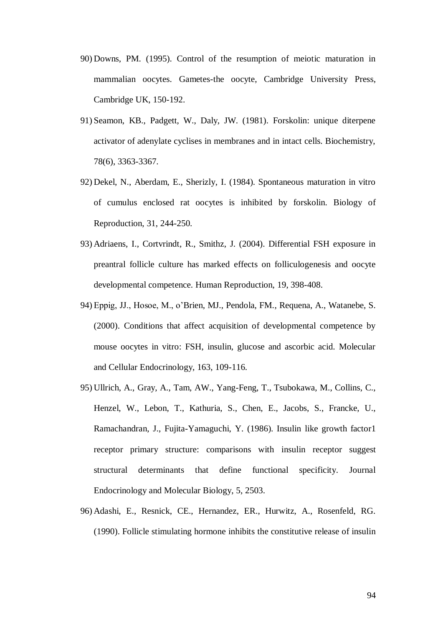- 90) Downs, PM. (1995). Control of the resumption of meiotic maturation in mammalian oocytes. Gametes-the oocyte, Cambridge University Press, Cambridge UK, 150-192.
- 91) Seamon, KB., Padgett, W., Daly, JW. (1981). Forskolin: unique diterpene activator of adenylate cyclises in membranes and in intact cells. Biochemistry, 78(6), 3363-3367.
- 92) Dekel, N., Aberdam, E., Sherizly, I. (1984). Spontaneous maturation in vitro of cumulus enclosed rat oocytes is inhibited by forskolin. Biology of Reproduction, 31, 244-250.
- 93) Adriaens, I., Cortvrindt, R., Smithz, J. (2004). Differential FSH exposure in preantral follicle culture has marked effects on folliculogenesis and oocyte developmental competence. Human Reproduction, 19, 398-408.
- 94) Eppig, JJ., Hosoe, M., o"Brien, MJ., Pendola, FM., Requena, A., Watanebe, S. (2000). Conditions that affect acquisition of developmental competence by mouse oocytes in vitro: FSH, insulin, glucose and ascorbic acid. Molecular and Cellular Endocrinology, 163, 109-116.
- 95) Ullrich, A., Gray, A., Tam, AW., Yang-Feng, T., Tsubokawa, M., Collins, C., Henzel, W., Lebon, T., Kathuria, S., Chen, E., Jacobs, S., Francke, U., Ramachandran, J., Fujita-Yamaguchi, Y. (1986). Insulin like growth factor1 receptor primary structure: comparisons with insulin receptor suggest structural determinants that define functional specificity. Journal Endocrinology and Molecular Biology, 5, 2503.
- 96) Adashi, E., Resnick, CE., Hernandez, ER., Hurwitz, A., Rosenfeld, RG. (1990). Follicle stimulating hormone inhibits the constitutive release of insulin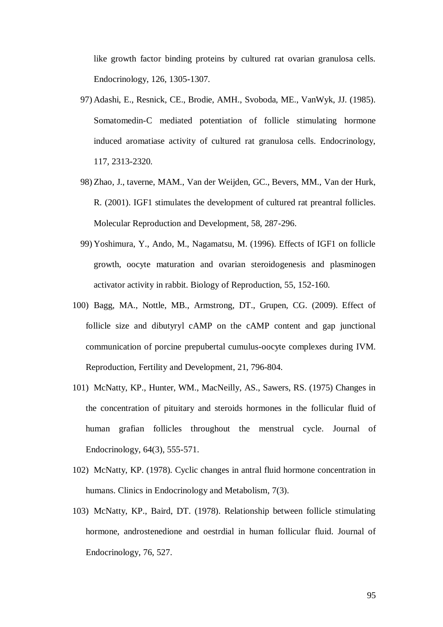like growth factor binding proteins by cultured rat ovarian granulosa cells. Endocrinology, 126, 1305-1307.

- 97) Adashi, E., Resnick, CE., Brodie, AMH., Svoboda, ME., VanWyk, JJ. (1985). Somatomedin-C mediated potentiation of follicle stimulating hormone induced aromatiase activity of cultured rat granulosa cells. Endocrinology, 117, 2313-2320.
- 98) Zhao, J., taverne, MAM., Van der Weijden, GC., Bevers, MM., Van der Hurk, R. (2001). IGF1 stimulates the development of cultured rat preantral follicles. Molecular Reproduction and Development, 58, 287-296.
- 99) Yoshimura, Y., Ando, M., Nagamatsu, M. (1996). Effects of IGF1 on follicle growth, oocyte maturation and ovarian steroidogenesis and plasminogen activator activity in rabbit. Biology of Reproduction, 55, 152-160.
- 100) Bagg, MA., Nottle, MB., Armstrong, DT., Grupen, CG. (2009). Effect of follicle size and dibutyryl cAMP on the cAMP content and gap junctional communication of porcine prepubertal cumulus-oocyte complexes during IVM. Reproduction, Fertility and Development, 21, 796-804.
- 101) McNatty, KP., Hunter, WM., MacNeilly, AS., Sawers, RS. (1975) Changes in the concentration of pituitary and steroids hormones in the follicular fluid of human grafian follicles throughout the menstrual cycle. Journal of Endocrinology, 64(3), 555-571.
- 102) McNatty, KP. (1978). Cyclic changes in antral fluid hormone concentration in humans. Clinics in Endocrinology and Metabolism, 7(3).
- 103) McNatty, KP., Baird, DT. (1978). Relationship between follicle stimulating hormone, androstenedione and oestrdial in human follicular fluid. Journal of Endocrinology, 76, 527.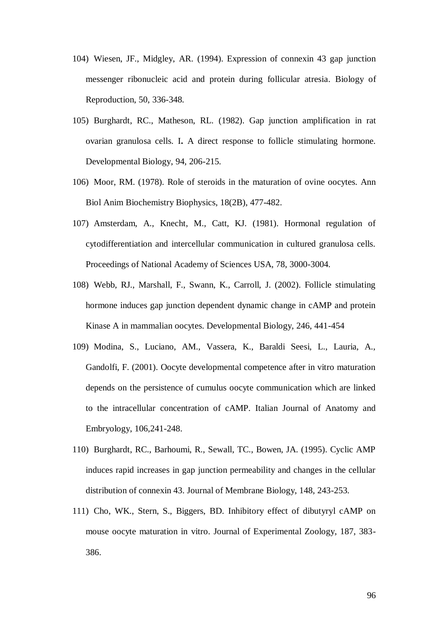- 104) Wiesen, JF., Midgley, AR. (1994). Expression of connexin 43 gap junction messenger ribonucleic acid and protein during follicular atresia. Biology of Reproduction, 50, 336-348.
- 105) Burghardt, RC., Matheson, RL. (1982). Gap junction amplification in rat ovarian granulosa cells. I**.** A direct response to follicle stimulating hormone. Developmental Biology, 94, 206-215.
- 106) Moor, RM. (1978). Role of steroids in the maturation of ovine oocytes. Ann Biol Anim Biochemistry Biophysics, 18(2B), 477-482.
- 107) Amsterdam, A., Knecht, M., Catt, KJ. (1981). Hormonal regulation of cytodifferentiation and intercellular communication in cultured granulosa cells. Proceedings of National Academy of Sciences USA, 78, 3000-3004.
- 108) Webb, RJ., Marshall, F., Swann, K., Carroll, J. (2002). Follicle stimulating hormone induces gap junction dependent dynamic change in cAMP and protein Kinase A in mammalian oocytes. Developmental Biology, 246, 441-454
- 109) Modina, S., Luciano, AM., Vassera, K., Baraldi Seesi, L., Lauria, A., Gandolfi, F. (2001). Oocyte developmental competence after in vitro maturation depends on the persistence of cumulus oocyte communication which are linked to the intracellular concentration of cAMP. Italian Journal of Anatomy and Embryology, 106,241-248.
- 110) Burghardt, RC., Barhoumi, R., Sewall, TC., Bowen, JA. (1995). Cyclic AMP induces rapid increases in gap junction permeability and changes in the cellular distribution of connexin 43. Journal of Membrane Biology, 148, 243-253.
- 111) Cho, WK., Stern, S., Biggers, BD. Inhibitory effect of dibutyryl cAMP on mouse oocyte maturation in vitro. Journal of Experimental Zoology, 187, 383- 386.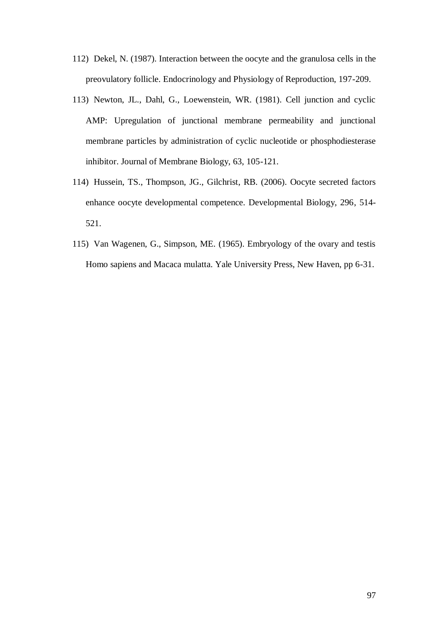- 112) Dekel, N. (1987). Interaction between the oocyte and the granulosa cells in the preovulatory follicle. Endocrinology and Physiology of Reproduction, 197-209.
- 113) Newton, JL., Dahl, G., Loewenstein, WR. (1981). Cell junction and cyclic AMP: Upregulation of junctional membrane permeability and junctional membrane particles by administration of cyclic nucleotide or phosphodiesterase inhibitor. Journal of Membrane Biology, 63, 105-121.
- 114) Hussein, TS., Thompson, JG., Gilchrist, RB. (2006). Oocyte secreted factors enhance oocyte developmental competence. Developmental Biology, 296, 514- 521.
- 115) Van Wagenen, G., Simpson, ME. (1965). Embryology of the ovary and testis Homo sapiens and Macaca mulatta. Yale University Press, New Haven, pp 6-31.